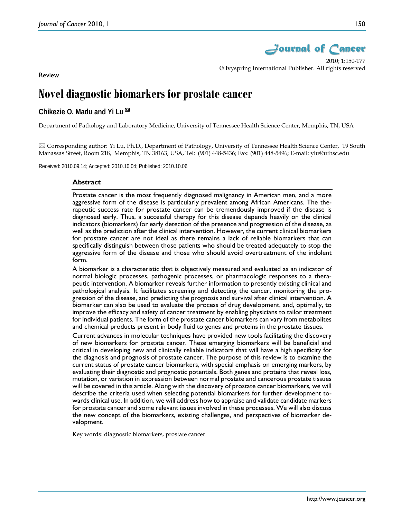

2010; 1:150-177 © Ivyspring International Publisher. All rights reserved

Review

# **Novel diagnostic biomarkers for prostate cancer**

# **Chikezie O. Madu and Yi Lu**

Department of Pathology and Laboratory Medicine, University of Tennessee Health Science Center, Memphis, TN, USA

 $\boxtimes$  Corresponding author: Yi Lu, Ph.D., Department of Pathology, University of Tennessee Health Science Center, 19 South Manassas Street, Room 218, Memphis, TN 38163, USA, Tel: (901) 448-5436; Fax: (901) 448-5496; E-mail: ylu@uthsc.edu

Received: 2010.09.14; Accepted: 2010.10.04; Published: 2010.10.06

### **Abstract**

Prostate cancer is the most frequently diagnosed malignancy in American men, and a more aggressive form of the disease is particularly prevalent among African Americans. The therapeutic success rate for prostate cancer can be tremendously improved if the disease is diagnosed early. Thus, a successful therapy for this disease depends heavily on the clinical indicators (biomarkers) for early detection of the presence and progression of the disease, as well as the prediction after the clinical intervention. However, the current clinical biomarkers for prostate cancer are not ideal as there remains a lack of reliable biomarkers that can specifically distinguish between those patients who should be treated adequately to stop the aggressive form of the disease and those who should avoid overtreatment of the indolent form.

A biomarker is a characteristic that is objectively measured and evaluated as an indicator of normal biologic processes, pathogenic processes, or pharmacologic responses to a therapeutic intervention. A biomarker reveals further information to presently existing clinical and pathological analysis. It facilitates screening and detecting the cancer, monitoring the progression of the disease, and predicting the prognosis and survival after clinical intervention. A biomarker can also be used to evaluate the process of drug development, and, optimally, to improve the efficacy and safety of cancer treatment by enabling physicians to tailor treatment for individual patients. The form of the prostate cancer biomarkers can vary from metabolites and chemical products present in body fluid to genes and proteins in the prostate tissues.

Current advances in molecular techniques have provided new tools facilitating the discovery of new biomarkers for prostate cancer. These emerging biomarkers will be beneficial and critical in developing new and clinically reliable indicators that will have a high specificity for the diagnosis and prognosis of prostate cancer. The purpose of this review is to examine the current status of prostate cancer biomarkers, with special emphasis on emerging markers, by evaluating their diagnostic and prognostic potentials. Both genes and proteins that reveal loss, mutation, or variation in expression between normal prostate and cancerous prostate tissues will be covered in this article. Along with the discovery of prostate cancer biomarkers, we will describe the criteria used when selecting potential biomarkers for further development towards clinical use. In addition, we will address how to appraise and validate candidate markers for prostate cancer and some relevant issues involved in these processes. We will also discuss the new concept of the biomarkers, existing challenges, and perspectives of biomarker development.

Key words: diagnostic biomarkers, prostate cancer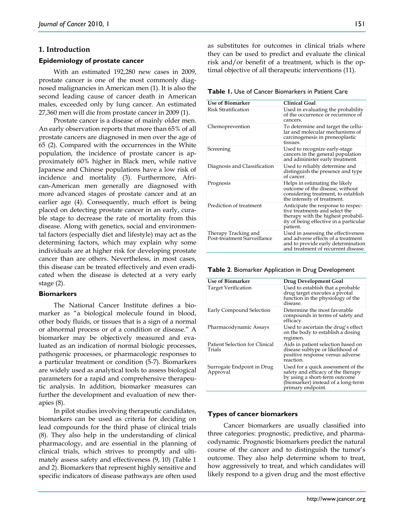### **1. Introduction**

#### **Epidemiology of prostate cancer**

With an estimated 192,280 new cases in 2009, prostate cancer is one of the most commonly diagnosed malignancies in American men (1). It is also the second leading cause of cancer death in American males, exceeded only by lung cancer. An estimated 27,360 men will die from prostate cancer in 2009 (1).

Prostate cancer is a disease of mainly older men. An early observation reports that more than 65% of all prostate cancers are diagnosed in men over the age of 65 (2). Compared with the occurrences in the White population, the incidence of prostate cancer is approximately 60% higher in Black men, while native Japanese and Chinese populations have a low risk of incidence and mortality (3). Furthermore, African-American men generally are diagnosed with more advanced stages of prostate cancer and at an earlier age (4). Consequently, much effort is being placed on detecting prostate cancer in an early, curable stage to decrease the rate of mortality from this disease. Along with genetics, social and environmental factors (especially diet and lifestyle) may act as the determining factors, which may explain why some individuals are at higher risk for developing prostate cancer than are others. Nevertheless, in most cases, this disease can be treated effectively and even eradicated when the disease is detected at a very early stage (2).

### **Biomarkers**

The National Cancer Institute defines a biomarker as "a biological molecule found in blood, other body fluids, or tissues that is a sign of a normal or abnormal process or of a condition or disease." A biomarker may be objectively measured and evaluated as an indication of normal biologic processes, pathogenic processes, or pharmacologic responses to a particular treatment or condition (5-7). Biomarkers are widely used as analytical tools to assess biological parameters for a rapid and comprehensive therapeutic analysis. In addition, biomarker measures can further the development and evaluation of new therapies (8).

In pilot studies involving therapeutic candidates, biomarkers can be used as criteria for deciding on lead compounds for the third phase of clinical trials (8). They also help in the understanding of clinical pharmacology, and are essential in the planning of clinical trials, which strives to promptly and ultimately assess safety and effectiveness (9, 10) (Table 1 and 2). Biomarkers that represent highly sensitive and specific indicators of disease pathways are often used

as substitutes for outcomes in clinical trials where they can be used to predict and evaluate the clinical risk and/or benefit of a treatment, which is the optimal objective of all therapeutic interventions (11).

**Table 1.** Use of Cancer Biomarkers in Patient Care

| <b>Use of Biomarker</b>                             | <b>Clinical Goal</b>                                                                                                                                             |
|-----------------------------------------------------|------------------------------------------------------------------------------------------------------------------------------------------------------------------|
| <b>Risk Stratification</b>                          | Used in evaluating the probability<br>of the occurrence or recurrence of<br>cancers.                                                                             |
| Chemoprevention                                     | To determine and target the cellu-<br>lar and molecular mechanisms of<br>carcinogenesis in preneoplastic<br>tissues.                                             |
| Screening                                           | Used to recognize early-stage<br>cancers in the general population<br>and administer early treatment.                                                            |
| Diagnosis and Classification                        | Used to reliably determine and<br>distinguish the presence and type<br>of cancer.                                                                                |
| Prognosis                                           | Helps in estimating the likely<br>outcome of the disease, without<br>considering treatment, to establish<br>the intensity of treatment.                          |
| Prediction of treatment                             | Anticipate the response to respec-<br>tive treatments and select the<br>therapy with the highest probabil-<br>ity of being effective in a particular<br>patient. |
| Therapy Tracking and<br>Post-treatment Surveillance | Used in assessing the effectiveness<br>and adverse effects of a treatment<br>and to provide early determination<br>and treatment of recurrent disease.           |

**Table 2**. Biomarker Application in Drug Development

| <b>Use of Biomarker</b>                         | Drug Development Goal                                                                                                                                                |
|-------------------------------------------------|----------------------------------------------------------------------------------------------------------------------------------------------------------------------|
| <b>Target Verification</b>                      | Used to establish that a probable<br>drug target executes a pivotal<br>function in the physiology of the<br>disease.                                                 |
| Early Compound Selection                        | Determine the most favorable<br>compounds in terms of safety and<br>efficacy.                                                                                        |
| Pharmacodynamic Assays                          | Used to ascertain the drug's effect<br>on the body to establish a dosing<br>regimen.                                                                                 |
| <b>Patient Selection for Clinical</b><br>Trials | Aids in patient selection based on<br>disease subtype or likelihood of<br>positive response versus adverse<br>reaction                                               |
| Surrogate Endpoint in Drug<br>Approval          | Used for a quick assessment of the<br>safety and efficacy of the therapy<br>by using a short-term outcome<br>(biomarker) instead of a long-term<br>primary endpoint. |

#### **Types of cancer biomarkers**

Cancer biomarkers are usually classified into three categories: prognostic, predictive, and pharmacodynamic. Prognostic biomarkers predict the natural course of the cancer and to distinguish the tumor's outcome. They also help determine whom to treat, how aggressively to treat, and which candidates will likely respond to a given drug and the most effective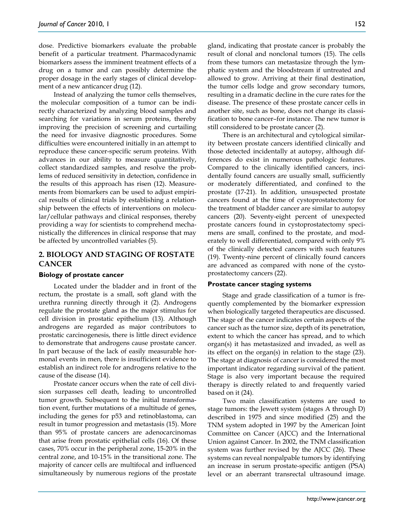dose. Predictive biomarkers evaluate the probable benefit of a particular treatment. Pharmacodynamic biomarkers assess the imminent treatment effects of a drug on a tumor and can possibly determine the proper dosage in the early stages of clinical development of a new anticancer drug (12).

Instead of analyzing the tumor cells themselves, the molecular composition of a tumor can be indirectly characterized by analyzing blood samples and searching for variations in serum proteins, thereby improving the precision of screening and curtailing the need for invasive diagnostic procedures. Some difficulties were encountered initially in an attempt to reproduce these cancer-specific serum proteins. With advances in our ability to measure quantitatively, collect standardized samples, and resolve the problems of reduced sensitivity in detection, confidence in the results of this approach has risen (12). Measurements from biomarkers can be used to adjust empirical results of clinical trials by establishing a relationship between the effects of interventions on molecular/cellular pathways and clinical responses, thereby providing a way for scientists to comprehend mechanistically the differences in clinical response that may be affected by uncontrolled variables (5).

# **2. BIOLOGY AND STAGING OF ROSTATE CANCER**

#### **Biology of prostate cancer**

Located under the bladder and in front of the rectum, the prostate is a small, soft gland with the urethra running directly through it (2). Androgens regulate the prostate gland as the major stimulus for cell division in prostatic epithelium (13). Although androgens are regarded as major contributors to prostatic carcinogenesis, there is little direct evidence to demonstrate that androgens cause prostate cancer. In part because of the lack of easily measurable hormonal events in men, there is insufficient evidence to establish an indirect role for androgens relative to the cause of the disease (14).

Prostate cancer occurs when the rate of cell division surpasses cell death, leading to uncontrolled tumor growth. Subsequent to the initial transformation event, further mutations of a multitude of genes, including the genes for p53 and retinoblastoma, can result in tumor progression and metastasis (15). More than 95% of prostate cancers are adenocarcinomas that arise from prostatic epithelial cells (16). Of these cases, 70% occur in the peripheral zone, 15-20% in the central zone, and 10-15% in the transitional zone. The majority of cancer cells are multifocal and influenced simultaneously by numerous regions of the prostate

gland, indicating that prostate cancer is probably the result of clonal and nonclonal tumors (15). The cells from these tumors can metastasize through the lymphatic system and the bloodstream if untreated and allowed to grow. Arriving at their final destination, the tumor cells lodge and grow secondary tumors, resulting in a dramatic decline in the cure rates for the disease. The presence of these prostate cancer cells in another site, such as bone, does not change its classification to bone cancer–for instance. The new tumor is still considered to be prostate cancer (2).

There is an architectural and cytological similarity between prostate cancers identified clinically and those detected incidentally at autopsy, although differences do exist in numerous pathologic features. Compared to the clinically identified cancers, incidentally found cancers are usually small, sufficiently or moderately differentiated, and confined to the prostate (17-21). In addition, unsuspected prostate cancers found at the time of cystoprostatectomy for the treatment of bladder cancer are similar to autopsy cancers (20). Seventy-eight percent of unexpected prostate cancers found in cystoprostatectomy specimens are small, confined to the prostate, and moderately to well differentiated, compared with only 9% of the clinically detected cancers with such features (19). Twenty-nine percent of clinically found cancers are advanced as compared with none of the cystoprostatectomy cancers (22).

#### **Prostate cancer staging systems**

Stage and grade classification of a tumor is frequently complemented by the biomarker expression when biologically targeted therapeutics are discussed. The stage of the cancer indicates certain aspects of the cancer such as the tumor size, depth of its penetration, extent to which the cancer has spread, and to which organ(s) it has metastasized and invaded, as well as its effect on the organ(s) in relation to the stage (23). The stage at diagnosis of cancer is considered the most important indicator regarding survival of the patient. Stage is also very important because the required therapy is directly related to and frequently varied based on it (24).

Two main classification systems are used to stage tumors: the Jewett system (stages A through D) described in 1975 and since modified (25) and the TNM system adopted in 1997 by the American Joint Committee on Cancer (AJCC) and the International Union against Cancer. In 2002, the TNM classification system was further revised by the AJCC (26). These systems can reveal nonpalpable tumors by identifying an increase in serum prostate-specific antigen (PSA) level or an aberrant transrectal ultrasound image.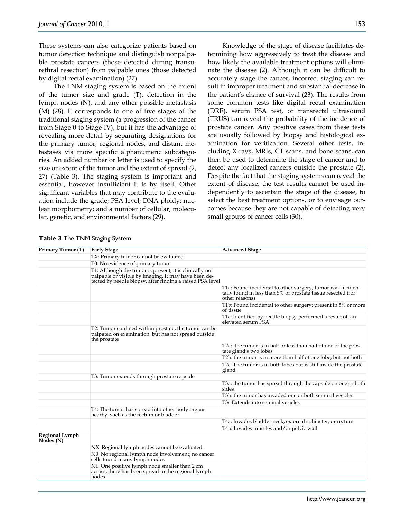These systems can also categorize patients based on tumor detection technique and distinguish nonpalpable prostate cancers (those detected during transurethral resection) from palpable ones (those detected by digital rectal examination) (27).

The TNM staging system is based on the extent of the tumor size and grade (T), detection in the lymph nodes (N), and any other possible metastasis **(**M) (28). It corresponds to one of five stages of the traditional staging system (a progression of the cancer from Stage 0 to Stage IV), but it has the advantage of revealing more detail by separating designations for the primary tumor, regional nodes, and distant metastases via more specific alphanumeric subcategories. An added number or letter is used to specify the size or extent of the tumor and the extent of spread (2, 27) (Table 3). The staging system is important and essential, however insufficient it is by itself. Other significant variables that may contribute to the evaluation include the grade; PSA level; DNA ploidy; nuclear morphometry; and a number of cellular, molecular, genetic, and environmental factors (29).

Knowledge of the stage of disease facilitates determining how aggressively to treat the disease and how likely the available treatment options will eliminate the disease (2). Although it can be difficult to accurately stage the cancer, incorrect staging can result in improper treatment and substantial decrease in the patient's chance of survival (23). The results from some common tests like digital rectal examination (DRE), serum PSA test, or transrectal ultrasound (TRUS) can reveal the probability of the incidence of prostate cancer. Any positive cases from these tests are usually followed by biopsy and histological examination for verification. Several other tests, including X-rays, MRIs, CT scans, and bone scans, can then be used to determine the stage of cancer and to detect any localized cancers outside the prostate (2). Despite the fact that the staging systems can reveal the extent of disease, the test results cannot be used independently to ascertain the stage of the disease, to select the best treatment options, or to envisage outcomes because they are not capable of detecting very small groups of cancer cells (30).

| Primary Tumor (T)                 | <b>Early Stage</b>                                                                                                                                                           | <b>Advanced Stage</b>                                                                                                                        |
|-----------------------------------|------------------------------------------------------------------------------------------------------------------------------------------------------------------------------|----------------------------------------------------------------------------------------------------------------------------------------------|
|                                   | TX: Primary tumor cannot be evaluated                                                                                                                                        |                                                                                                                                              |
|                                   | T0: No evidence of primary tumor                                                                                                                                             |                                                                                                                                              |
|                                   | T1: Although the tumor is present, it is clinically not<br>palpable or visible by imaging. It may have been de-<br>tected by needle biopsy, after finding a raised PSA level |                                                                                                                                              |
|                                   |                                                                                                                                                                              | T1a: Found incidental to other surgery; tumor was inciden-<br>tally found in less than 5% of prostate tissue resected (for<br>other reasons) |
|                                   |                                                                                                                                                                              | T1b: Found incidental to other surgery; present in 5% or more<br>of tissue                                                                   |
|                                   |                                                                                                                                                                              | T1c: Identified by needle biopsy performed a result of an<br>elevated serum PSA                                                              |
|                                   | T2: Tumor confined within prostate, the tumor can be<br>palpated on examination, but has not spread outside<br>the prostate                                                  |                                                                                                                                              |
|                                   |                                                                                                                                                                              | T2a: the tumor is in half or less than half of one of the pros-<br>tate gland's two lobes                                                    |
|                                   |                                                                                                                                                                              | T2b: the tumor is in more than half of one lobe, but not both                                                                                |
|                                   |                                                                                                                                                                              | T2c: The tumor is in both lobes but is still inside the prostate<br>gland                                                                    |
|                                   | T3: Tumor extends through prostate capsule                                                                                                                                   |                                                                                                                                              |
|                                   |                                                                                                                                                                              | T3a: the tumor has spread through the capsule on one or both<br>sides                                                                        |
|                                   |                                                                                                                                                                              | T <sub>3</sub> b: the tumor has invaded one or both seminal vesicles                                                                         |
|                                   |                                                                                                                                                                              | T <sub>3</sub> c Extends into seminal vesicles                                                                                               |
|                                   | T4: The tumor has spread into other body organs<br>nearby, such as the rectum or bladder                                                                                     |                                                                                                                                              |
|                                   |                                                                                                                                                                              | T4a: Invades bladder neck, external sphincter, or rectum                                                                                     |
|                                   |                                                                                                                                                                              | T4b: Invades muscles and/or pelvic wall                                                                                                      |
| <b>Regional Lymph</b><br>Nodes(N) |                                                                                                                                                                              |                                                                                                                                              |
|                                   | NX: Regional lymph nodes cannot be evaluated                                                                                                                                 |                                                                                                                                              |
|                                   | N0: No regional lymph node involvement; no cancer<br>cells found in any lymph nodes                                                                                          |                                                                                                                                              |
|                                   | N1: One positive lymph node smaller than 2 cm<br>across, there has been spread to the regional lymph<br>nodes                                                                |                                                                                                                                              |

#### **Table 3** The TNM Staging System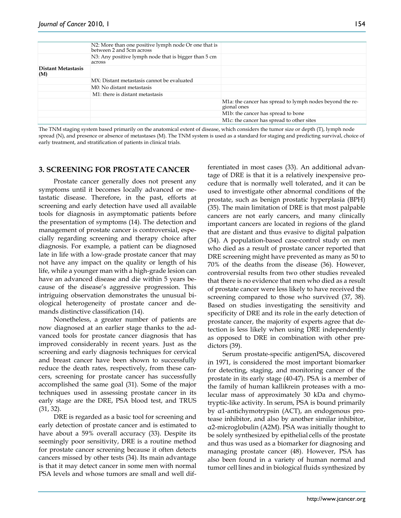|                           | N2: More than one positive lymph node Or one that is<br>between 2 and 5cm across |                                                                                      |
|---------------------------|----------------------------------------------------------------------------------|--------------------------------------------------------------------------------------|
|                           | N3: Any positive lymph node that is bigger than 5 cm<br>across                   |                                                                                      |
| Distant Metastasis<br>(M) |                                                                                  |                                                                                      |
|                           | MX: Distant metastasis cannot be evaluated                                       |                                                                                      |
|                           | M0: No distant metastasis                                                        |                                                                                      |
|                           | M1: there is distant metastasis                                                  |                                                                                      |
|                           |                                                                                  | M <sub>1</sub> a: the cancer has spread to lymph nodes beyond the re-<br>gional ones |
|                           |                                                                                  | M1b: the cancer has spread to bone                                                   |
|                           |                                                                                  | M1c: the cancer has spread to other sites                                            |

The TNM staging system based primarily on the anatomical extent of disease, which considers the tumor size or depth (T), lymph node spread (N), and presence or absence of metastases (M). The TNM system is used as a standard for staging and predicting survival, choice of early treatment, and stratification of patients in clinical trials.

# **3. SCREENING FOR PROSTATE CANCER**

Prostate cancer generally does not present any symptoms until it becomes locally advanced or metastatic disease. Therefore, in the past, efforts at screening and early detection have used all available tools for diagnosis in asymptomatic patients before the presentation of symptoms (14). The detection and management of prostate cancer is controversial, especially regarding screening and therapy choice after diagnosis. For example, a patient can be diagnosed late in life with a low-grade prostate cancer that may not have any impact on the quality or length of his life, while a younger man with a high-grade lesion can have an advanced disease and die within 5 years because of the disease's aggressive progression. This intriguing observation demonstrates the unusual biological heterogeneity of prostate cancer and demands distinctive classification (14).

Nonetheless, a greater number of patients are now diagnosed at an earlier stage thanks to the advanced tools for prostate cancer diagnosis that has improved considerably in recent years. Just as the screening and early diagnosis techniques for cervical and breast cancer have been shown to successfully reduce the death rates, respectively, from these cancers, screening for prostate cancer has successfully accomplished the same goal (31). Some of the major techniques used in assessing prostate cancer in its early stage are the DRE, PSA blood test, and TRUS (31, 32).

DRE is regarded as a basic tool for screening and early detection of prostate cancer and is estimated to have about a 59% overall accuracy (33). Despite its seemingly poor sensitivity, DRE is a routine method for prostate cancer screening because it often detects cancers missed by other tests (34). Its main advantage is that it may detect cancer in some men with normal PSA levels and whose tumors are small and well dif-

ferentiated in most cases (33). An additional advantage of DRE is that it is a relatively inexpensive procedure that is normally well tolerated, and it can be used to investigate other abnormal conditions of the prostate, such as benign prostatic hyperplasia (BPH) (35). The main limitation of DRE is that most palpable cancers are not early cancers, and many clinically important cancers are located in regions of the gland that are distant and thus evasive to digital palpation (34). A population-based case-control study on men who died as a result of prostate cancer reported that DRE screening might have prevented as many as 50 to 70% of the deaths from the disease (36). However, controversial results from two other studies revealed that there is no evidence that men who died as a result of prostate cancer were less likely to have received the screening compared to those who survived (37, 38). Based on studies investigating the sensitivity and specificity of DRE and its role in the early detection of prostate cancer, the majority of experts agree that detection is less likely when using DRE independently as opposed to DRE in combination with other predictors (39).

Serum prostate-specific antigenPSA, discovered in 1971, is considered the most important biomarker for detecting, staging, and monitoring cancer of the prostate in its early stage (40-47). PSA is a member of the family of human kallikrein proteases with a molecular mass of approximately 30 kDa and chymotryptic-like activity. In serum, PSA is bound primarily by α1-antichymotrypsin (ACT), an endogenous protease inhibitor, and also by another similar inhibitor, α2-microglobulin (A2M). PSA was initially thought to be solely synthesized by epithelial cells of the prostate and thus was used as a biomarker for diagnosing and managing prostate cancer (48). However, PSA has also been found in a variety of human normal and tumor cell lines and in biological fluids synthesized by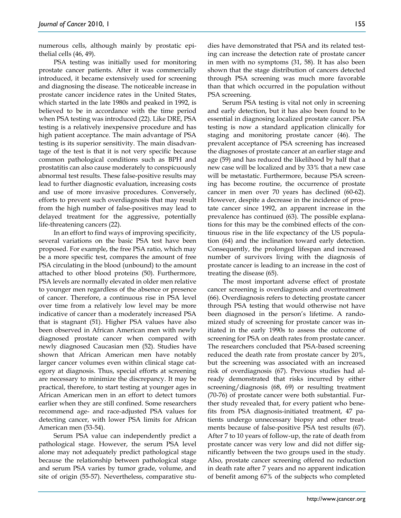numerous cells, although mainly by prostatic epithelial cells (46, 49).

PSA testing was initially used for monitoring prostate cancer patients. After it was commercially introduced, it became extensively used for screening and diagnosing the disease. The noticeable increase in prostate cancer incidence rates in the United States, which started in the late 1980s and peaked in 1992, is believed to be in accordance with the time period when PSA testing was introduced (22). Like DRE, PSA testing is a relatively inexpensive procedure and has high patient acceptance. The main advantage of PSA testing is its superior sensitivity. The main disadvantage of the test is that it is not very specific because common pathological conditions such as BPH and prostatitis can also cause moderately to conspicuously abnormal test results. These false-positive results may lead to further diagnostic evaluation, increasing costs and use of more invasive procedures. Conversely, efforts to prevent such overdiagnosis that may result from the high number of false-positives may lead to delayed treatment for the aggressive, potentially life-threatening cancers (22).

In an effort to find ways of improving specificity, several variations on the basic PSA test have been proposed. For example, the free PSA ratio, which may be a more specific test, compares the amount of free PSA circulating in the blood (unbound) to the amount attached to other blood proteins (50). Furthermore, PSA levels are normally elevated in older men relative to younger men regardless of the absence or presence of cancer. Therefore, a continuous rise in PSA level over time from a relatively low level may be more indicative of cancer than a moderately increased PSA that is stagnant (51). Higher PSA values have also been observed in African American men with newly diagnosed prostate cancer when compared with newly diagnosed Caucasian men (52). Studies have shown that African American men have notably larger cancer volumes even within clinical stage category at diagnosis. Thus, special efforts at screening are necessary to minimize the discrepancy. It may be practical, therefore, to start testing at younger ages in African American men in an effort to detect tumors earlier when they are still confined. Some researchers recommend age- and race-adjusted PSA values for detecting cancer, with lower PSA limits for African American men (53-54).

Serum PSA value can independently predict a pathological stage. However, the serum PSA level alone may not adequately predict pathological stage because the relationship between pathological stage and serum PSA varies by tumor grade, volume, and site of origin (55-57). Nevertheless, comparative stu-

dies have demonstrated that PSA and its related testing can increase the detection rate of prostate cancer in men with no symptoms (31, 58). It has also been shown that the stage distribution of cancers detected through PSA screening was much more favorable than that which occurred in the population without PSA screening.

Serum PSA testing is vital not only in screening and early detection, but it has also been found to be essential in diagnosing localized prostate cancer. PSA testing is now a standard application clinically for staging and monitoring prostate cancer (46). The prevalent acceptance of PSA screening has increased the diagnoses of prostate cancer at an earlier stage and age (59) and has reduced the likelihood by half that a new case will be localized and by 33% that a new case will be metastatic. Furthermore, because PSA screening has become routine, the occurrence of prostate cancer in men over 70 years has declined (60-62). However, despite a decrease in the incidence of prostate cancer since 1992, an apparent increase in the prevalence has continued (63). The possible explanations for this may be the combined effects of the continuous rise in the life expectancy of the US population (64) and the inclination toward early detection. Consequently, the prolonged lifespan and increased number of survivors living with the diagnosis of prostate cancer is leading to an increase in the cost of treating the disease (65).

The most important adverse effect of prostate cancer screening is overdiagnosis and overtreatment (66). Overdiagnosis refers to detecting prostate cancer through PSA testing that would otherwise not have been diagnosed in the person's lifetime. A randomized study of screening for prostate cancer was initiated in the early 1990s to assess the outcome of screening for PSA on death rates from prostate cancer. The researchers concluded that PSA-based screening reduced the death rate from prostate cancer by 20%, but the screening was associated with an increased risk of overdiagnosis (67). Previous studies had already demonstrated that risks incurred by either screening/diagnosis (68, 69) or resulting treatment (70-76) of prostate cancer were both substantial. Further study revealed that, for every patient who benefits from PSA diagnosis-initiated treatment, 47 patients undergo unnecessary biopsy and other treatments because of false-positive PSA test results (67). After 7 to 10 years of follow-up, the rate of death from prostate cancer was very low and did not differ significantly between the two groups used in the study. Also, prostate cancer screening offered no reduction in death rate after 7 years and no apparent indication of benefit among 67% of the subjects who completed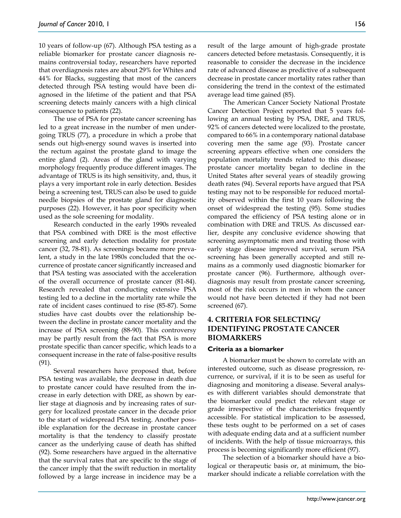10 years of follow-up (67). Although PSA testing as a reliable biomarker for prostate cancer diagnosis remains controversial today, researchers have reported that overdiagnosis rates are about 29% for Whites and 44% for Blacks, suggesting that most of the cancers detected through PSA testing would have been diagnosed in the lifetime of the patient and that PSA screening detects mainly cancers with a high clinical consequence to patients (22).

The use of PSA for prostate cancer screening has led to a great increase in the number of men undergoing TRUS (77), a procedure in which a probe that sends out high-energy sound waves is inserted into the rectum against the prostate gland to image the entire gland (2). Areas of the gland with varying morphology frequently produce different images. The advantage of TRUS is its high sensitivity, and, thus, it plays a very important role in early detection. Besides being a screening test, TRUS can also be used to guide needle biopsies of the prostate gland for diagnostic purposes (22). However, it has poor specificity when used as the sole screening for modality.

Research conducted in the early 1990s revealed that PSA combined with DRE is the most effective screening and early detection modality for prostate cancer (32, 78-81). As screenings became more prevalent, a study in the late 1980s concluded that the occurrence of prostate cancer significantly increased and that PSA testing was associated with the acceleration of the overall occurrence of prostate cancer (81-84). Research revealed that conducting extensive PSA testing led to a decline in the mortality rate while the rate of incident cases continued to rise (85-87). Some studies have cast doubts over the relationship between the decline in prostate cancer mortality and the increase of PSA screening (88-90). This controversy may be partly result from the fact that PSA is more prostate specific than cancer specific, which leads to a consequent increase in the rate of false-positive results (91).

Several researchers have proposed that, before PSA testing was available, the decrease in death due to prostate cancer could have resulted from the increase in early detection with DRE, as shown by earlier stage at diagnosis and by increasing rates of surgery for localized prostate cancer in the decade prior to the start of widespread PSA testing. Another possible explanation for the decrease in prostate cancer mortality is that the tendency to classify prostate cancer as the underlying cause of death has shifted (92). Some researchers have argued in the alternative that the survival rates that are specific to the stage of the cancer imply that the swift reduction in mortality followed by a large increase in incidence may be a

result of the large amount of high-grade prostate cancers detected before metastasis. Consequently, it is reasonable to consider the decrease in the incidence rate of advanced disease as predictive of a subsequent decrease in prostate cancer mortality rates rather than considering the trend in the context of the estimated average lead time gained (85).

The American Cancer Society National Prostate Cancer Detection Project reported that 5 years following an annual testing by PSA, DRE, and TRUS, 92% of cancers detected were localized to the prostate, compared to 66% in a contemporary national database covering men the same age (93). Prostate cancer screening appears effective when one considers the population mortality trends related to this disease; prostate cancer mortality began to decline in the United States after several years of steadily growing death rates (94). Several reports have argued that PSA testing may not to be responsible for reduced mortality observed within the first 10 years following the onset of widespread the testing (95). Some studies compared the efficiency of PSA testing alone or in combination with DRE and TRUS. As discussed earlier, despite any conclusive evidence showing that screening asymptomatic men and treating those with early stage disease improved survival, serum PSA screening has been generally accepted and still remains as a commonly used diagnostic biomarker for prostate cancer (96). Furthermore, although overdiagnosis may result from prostate cancer screening, most of the risk occurs in men in whom the cancer would not have been detected if they had not been screened (67).

# **4. CRITERIA FOR SELECTING/ IDENTIFYING PROSTATE CANCER BIOMARKERS**

#### **Criteria as a biomarker**

A biomarker must be shown to correlate with an interested outcome, such as disease progression, recurrence, or survival, if it is to be seen as useful for diagnosing and monitoring a disease. Several analyses with different variables should demonstrate that the biomarker could predict the relevant stage or grade irrespective of the characteristics frequently accessible. For statistical implication to be assessed, these tests ought to be performed on a set of cases with adequate ending data and at a sufficient number of incidents. With the help of tissue microarrays, this process is becoming significantly more efficient (97).

The selection of a biomarker should have a biological or therapeutic basis or, at minimum, the biomarker should indicate a reliable correlation with the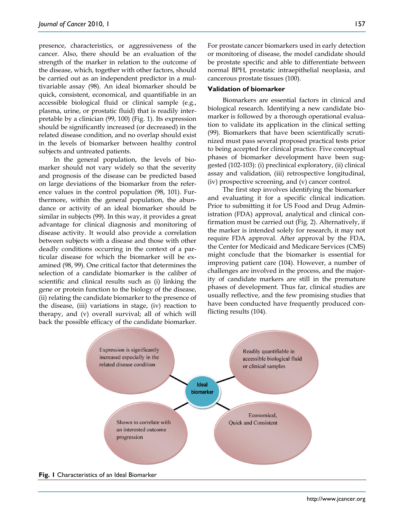presence, characteristics, or aggressiveness of the cancer. Also, there should be an evaluation of the strength of the marker in relation to the outcome of the disease, which, together with other factors, should be carried out as an independent predictor in a multivariable assay (98). An ideal biomarker should be quick, consistent, economical, and quantifiable in an accessible biological fluid or clinical sample (e.g., plasma, urine, or prostatic fluid) that is readily interpretable by a clinician (99, 100) (Fig. 1). Its expression should be significantly increased (or decreased) in the related disease condition, and no overlap should exist in the levels of biomarker between healthy control subjects and untreated patients.

In the general population, the levels of biomarker should not vary widely so that the severity and prognosis of the disease can be predicted based on large deviations of the biomarker from the reference values in the control population (98, 101). Furthermore, within the general population, the abundance or activity of an ideal biomarker should be similar in subjects (99). In this way, it provides a great advantage for clinical diagnosis and monitoring of disease activity. It would also provide a correlation between subjects with a disease and those with other deadly conditions occurring in the context of a particular disease for which the biomarker will be examined (98, 99). One critical factor that determines the selection of a candidate biomarker is the caliber of scientific and clinical results such as (i) linking the gene or protein function to the biology of the disease, (ii) relating the candidate biomarker to the presence of the disease, (iii) variations in stage, (iv) reaction to therapy, and (v) overall survival; all of which will back the possible efficacy of the candidate biomarker.

For prostate cancer biomarkers used in early detection or monitoring of disease, the model candidate should be prostate specific and able to differentiate between normal BPH, prostatic intraepithelial neoplasia, and cancerous prostate tissues (100).

#### **Validation of biomarker**

Biomarkers are essential factors in clinical and biological research. Identifying a new candidate biomarker is followed by a thorough operational evaluation to validate its application in the clinical setting (99). Biomarkers that have been scientifically scrutinized must pass several proposed practical tests prior to being accepted for clinical practice. Five conceptual phases of biomarker development have been suggested (102-103): (i) preclinical exploratory, (ii) clinical assay and validation, (iii) retrospective longitudinal, (iv) prospective screening, and (v) cancer control.

The first step involves identifying the biomarker and evaluating it for a specific clinical indication. Prior to submitting it for US Food and Drug Administration (FDA) approval, analytical and clinical confirmation must be carried out (Fig. 2). Alternatively, if the marker is intended solely for research, it may not require FDA approval. After approval by the FDA, the Center for Medicaid and Medicare Services (CMS) might conclude that the biomarker is essential for improving patient care (104). However, a number of challenges are involved in the process, and the majority of candidate markers are still in the premature phases of development. Thus far, clinical studies are usually reflective, and the few promising studies that have been conducted have frequently produced conflicting results (104).

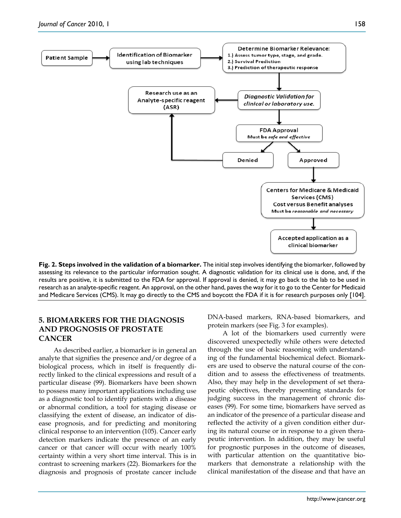

**Fig. 2. Steps involved in the validation of a biomarker.** The initial step involves identifying the biomarker, followed by assessing its relevance to the particular information sought. A diagnostic validation for its clinical use is done, and, if the results are positive, it is submitted to the FDA for approval. If approval is denied, it may go back to the lab to be used in research as an analyte-specific reagent. An approval, on the other hand, paves the way for it to go to the Center for Medicaid and Medicare Services (CMS). It may go directly to the CMS and boycott the FDA if it is for research purposes only [104].

# **5. BIOMARKERS FOR THE DIAGNOSIS AND PROGNOSIS OF PROSTATE CANCER**

As described earlier, a biomarker is in general an analyte that signifies the presence and/or degree of a biological process, which in itself is frequently directly linked to the clinical expressions and result of a particular disease (99). Biomarkers have been shown to possess many important applications including use as a diagnostic tool to identify patients with a disease or abnormal condition, a tool for staging disease or classifying the extent of disease, an indicator of disease prognosis, and for predicting and monitoring clinical response to an intervention (105). Cancer early detection markers indicate the presence of an early cancer or that cancer will occur with nearly 100% certainty within a very short time interval. This is in contrast to screening markers (22). Biomarkers for the diagnosis and prognosis of prostate cancer include

DNA-based markers, RNA-based biomarkers, and protein markers (see Fig. 3 for examples).

A lot of the biomarkers used currently were discovered unexpectedly while others were detected through the use of basic reasoning with understanding of the fundamental biochemical defect. Biomarkers are used to observe the natural course of the condition and to assess the effectiveness of treatments. Also, they may help in the development of set therapeutic objectives, thereby presenting standards for judging success in the management of chronic diseases (99). For some time, biomarkers have served as an indicator of the presence of a particular disease and reflected the activity of a given condition either during its natural course or in response to a given therapeutic intervention. In addition, they may be useful for prognostic purposes in the outcome of diseases, with particular attention on the quantitative biomarkers that demonstrate a relationship with the clinical manifestation of the disease and that have an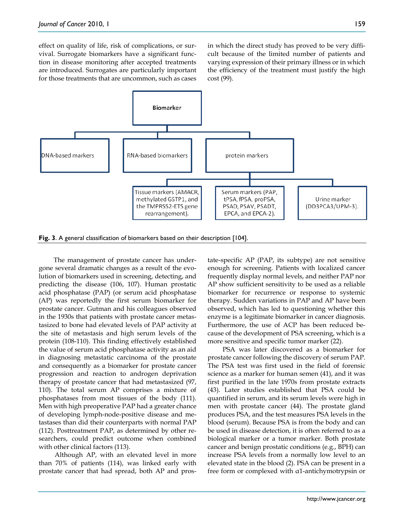effect on quality of life, risk of complications, or survival. Surrogate biomarkers have a significant function in disease monitoring after accepted treatments are introduced. Surrogates are particularly important for those treatments that are uncommon, such as cases in which the direct study has proved to be very difficult because of the limited number of patients and varying expression of their primary illness or in which the efficiency of the treatment must justify the high cost (99).



**Fig. 3**. A general classification of biomarkers based on their description [104].

The management of prostate cancer has undergone several dramatic changes as a result of the evolution of biomarkers used in screening, detecting, and predicting the disease (106, 107). Human prostatic acid phosphatase (PAP) (or serum acid phosphatase (AP) was reportedly the first serum biomarker for prostate cancer. Gutman and his colleagues observed in the 1930s that patients with prostate cancer metastasized to bone had elevated levels of PAP activity at the site of metastasis and high serum levels of the protein (108-110). This finding effectively established the value of serum acid phosphatase activity as an aid in diagnosing metastatic carcinoma of the prostate and consequently as a biomarker for prostate cancer progression and reaction to androgen deprivation therapy of prostate cancer that had metastasized (97, 110). The total serum AP comprises a mixture of phosphatases from most tissues of the body (111). Men with high preoperative PAP had a greater chance of developing lymph-node-positive disease and metastases than did their counterparts with normal PAP (112). Posttreatment PAP, as determined by other researchers, could predict outcome when combined with other clinical factors (113).

Although AP, with an elevated level in more than 70% of patients (114), was linked early with prostate cancer that had spread, both AP and prostate-specific AP (PAP, its subtype) are not sensitive enough for screening. Patients with localized cancer frequently display normal levels, and neither PAP nor AP show sufficient sensitivity to be used as a reliable biomarker for recurrence or response to systemic therapy. Sudden variations in PAP and AP have been observed, which has led to questioning whether this enzyme is a legitimate biomarker in cancer diagnosis. Furthermore, the use of ACP has been reduced because of the development of PSA screening, which is a more sensitive and specific tumor marker (22).

PSA was later discovered as a biomarker for prostate cancer following the discovery of serum PAP. The PSA test was first used in the field of forensic science as a marker for human semen (41), and it was first purified in the late 1970s from prostate extracts (43). Later studies established that PSA could be quantified in serum, and its serum levels were high in men with prostate cancer (44). The prostate gland produces PSA, and the test measures PSA levels in the blood (serum). Because PSA is from the body and can be used in disease detection, it is often referred to as a biological marker or a tumor marker. Both prostate cancer and benign prostatic conditions (e.g., BPH) can increase PSA levels from a normally low level to an elevated state in the blood (2). PSA can be present in a free form or complexed with α1-antichymotrypsin or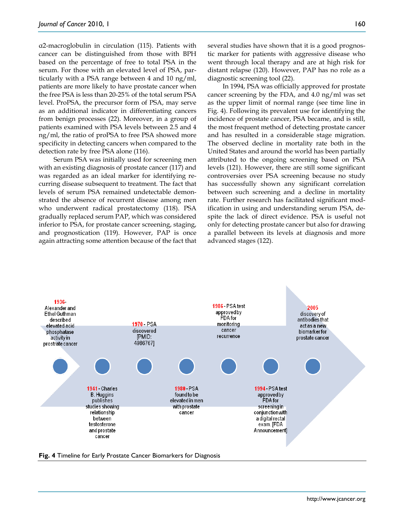α2-macroglobulin in circulation (115). Patients with cancer can be distinguished from those with BPH based on the percentage of free to total PSA in the serum. For those with an elevated level of PSA, particularly with a PSA range between 4 and 10 ng/ml, patients are more likely to have prostate cancer when the free PSA is less than 20-25% of the total serum PSA level. ProPSA, the precursor form of PSA, may serve as an additional indicator in differentiating cancers from benign processes (22). Moreover, in a group of patients examined with PSA levels between 2.5 and 4 ng/ml, the ratio of proPSA to free PSA showed more specificity in detecting cancers when compared to the detection rate by free PSA alone (116).

Serum PSA was initially used for screening men with an existing diagnosis of prostate cancer (117) and was regarded as an ideal marker for identifying recurring disease subsequent to treatment. The fact that levels of serum PSA remained undetectable demonstrated the absence of recurrent disease among men who underwent radical prostatectomy (118). PSA gradually replaced serum PAP, which was considered inferior to PSA, for prostate cancer screening, staging, and prognostication (119). However, PAP is once again attracting some attention because of the fact that several studies have shown that it is a good prognostic marker for patients with aggressive disease who went through local therapy and are at high risk for distant relapse (120). However, PAP has no role as a diagnostic screening tool (22).

In 1994, PSA was officially approved for prostate cancer screening by the FDA, and 4.0 ng/ml was set as the upper limit of normal range (see time line in Fig. 4). Following its prevalent use for identifying the incidence of prostate cancer, PSA became, and is still, the most frequent method of detecting prostate cancer and has resulted in a considerable stage migration. The observed decline in mortality rate both in the United States and around the world has been partially attributed to the ongoing screening based on PSA levels (121). However, there are still some significant controversies over PSA screening because no study has successfully shown any significant correlation between such screening and a decline in mortality rate. Further research has facilitated significant modification in using and understanding serum PSA, despite the lack of direct evidence. PSA is useful not only for detecting prostate cancer but also for drawing a parallel between its levels at diagnosis and more advanced stages (122).



**Fig. 4** Timeline for Early Prostate Cancer Biomarkers for Diagnosis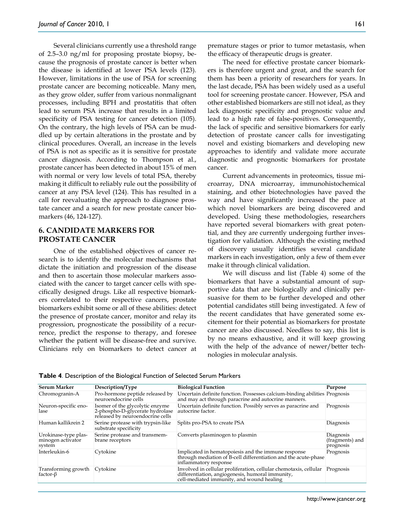Several clinicians currently use a threshold range of 2.5–3.0 ng/ml for proposing prostate biopsy, because the prognosis of prostate cancer is better when the disease is identified at lower PSA levels (123). However, limitations in the use of PSA for screening prostate cancer are becoming noticeable. Many men, as they grow older, suffer from various nonmalignant processes, including BPH and prostatitis that often lead to serum PSA increase that results in a limited specificity of PSA testing for cancer detection (105). On the contrary, the high levels of PSA can be muddled up by certain alterations in the prostate and by clinical procedures. Overall, an increase in the levels of PSA is not as specific as it is sensitive for prostate cancer diagnosis. According to Thompson et al., prostate cancer has been detected in about 15% of men with normal or very low levels of total PSA, thereby making it difficult to reliably rule out the possibility of cancer at any PSA level (124). This has resulted in a call for reevaluating the approach to diagnose prostate cancer and a search for new prostate cancer biomarkers (46, 124-127).

# **6. CANDIDATE MARKERS FOR PROSTATE CANCER**

One of the established objectives of cancer research is to identify the molecular mechanisms that dictate the initiation and progression of the disease and then to ascertain those molecular markers associated with the cancer to target cancer cells with specifically designed drugs. Like all respective biomarkers correlated to their respective cancers, prostate biomarkers exhibit some or all of these abilities: detect the presence of prostate cancer, monitor and relay its progression, prognosticate the possibility of a recurrence, predict the response to therapy, and foresee whether the patient will be disease-free and survive. Clinicians rely on biomarkers to detect cancer at premature stages or prior to tumor metastasis, when the efficacy of therapeutic drugs is greater.

The need for effective prostate cancer biomarkers is therefore urgent and great, and the search for them has been a priority of researchers for years. In the last decade, PSA has been widely used as a useful tool for screening prostate cancer. However, PSA and other established biomarkers are still not ideal, as they lack diagnostic specificity and prognostic value and lead to a high rate of false-positives. Consequently, the lack of specific and sensitive biomarkers for early detection of prostate cancer calls for investigating novel and existing biomarkers and developing new approaches to identify and validate more accurate diagnostic and prognostic biomarkers for prostate cancer.

Current advancements in proteomics, tissue microarray, DNA microarray, immunohistochemical staining, and other biotechnologies have paved the way and have significantly increased the pace at which novel biomarkers are being discovered and developed. Using these methodologies, researchers have reported several biomarkers with great potential, and they are currently undergoing further investigation for validation. Although the existing method of discovery usually identifies several candidate markers in each investigation, only a few of them ever make it through clinical validation.

We will discuss and list (Table 4) some of the biomarkers that have a substantial amount of supportive data that are biologically and clinically persuasive for them to be further developed and other potential candidates still being investigated. A few of the recent candidates that have generated some excitement for their potential as biomarkers for prostate cancer are also discussed. Needless to say, this list is by no means exhaustive, and it will keep growing with the help of the advance of newer/better technologies in molecular analysis.

| <b>Serum Marker</b>                                 | Description/Type                                                                                       | <b>Biological Function</b>                                                                                                                                      | Purpose                                   |
|-----------------------------------------------------|--------------------------------------------------------------------------------------------------------|-----------------------------------------------------------------------------------------------------------------------------------------------------------------|-------------------------------------------|
| Chromogranin-A                                      | Pro-hormone peptide released by<br>neuroendocrine cells                                                | Uncertain definite function. Possesses calcium-binding abilities Prognosis<br>and may act through paracrine and autocrine manners.                              |                                           |
| Neuron-specific eno-<br>lase                        | Isomer of the glycolytic enzyme<br>2-phospho-D-glycerate hydrolase<br>released by neuroendocrine cells | Uncertain definite function. Possibly serves as paracrine and<br>autocrine factor.                                                                              | Prognosis                                 |
| Human kallikrein 2                                  | Serine protease with trypsin-like<br>substrate specificity                                             | Splits pro-PSA to create PSA                                                                                                                                    | Diagnosis                                 |
| Urokinase-type plas-<br>minogen activator<br>system | Serine protease and transmem-<br>brane receptors                                                       | Converts plasminogen to plasmin                                                                                                                                 | Diagnosis<br>(fragments) and<br>prognosis |
| Interleukin-6                                       | Cytokine                                                                                               | Implicated in hematopoiesis and the immune response<br>through mediation of B-cell differentiation and the acute-phase<br>inflammatory response                 | Prognosis                                 |
| Transforming growth<br>factor- $\beta$              | Cytokine                                                                                               | Involved in cellular proliferation, cellular chemotaxis, cellular differentiation, angiogenesis, humoral immunity,<br>cell-mediated immunity, and wound healing | Prognosis                                 |

#### **Table 4**. Description of the Biological Function of Selected Serum Markers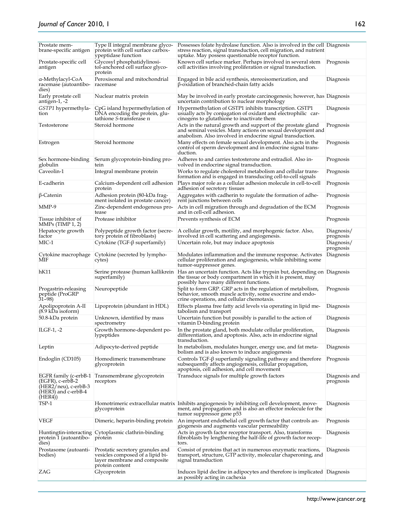| Prostate mem-<br>brane-specific antigen                                                             | Type II integral membrane glyco-<br>protein with cell surface carbox-<br>ypeptidase function                            | Possesses folate hydrolase function. Also is involved in the cell Diagnosis<br>stress reaction, signal transduction, cell migration, and nutrient<br>uptake. May possess questionable receptor function. |                            |
|-----------------------------------------------------------------------------------------------------|-------------------------------------------------------------------------------------------------------------------------|----------------------------------------------------------------------------------------------------------------------------------------------------------------------------------------------------------|----------------------------|
| Prostate-specific cell<br>antigen                                                                   | Glycosyl phosphatidylinosi-<br>tol-anchored cell surface glyco-<br>protein                                              | Known cell surface marker. Perhaps involved in several stem<br>cell activities involving proliferation or signal transduction.                                                                           | Prognosis                  |
| a-Methylacyl-CoA<br>racemase (autoantibo-<br>dies)                                                  | Peroxisomal and mitochondrial<br>racemase                                                                               | Engaged in bile acid synthesis, stereoisomerization, and<br>$\beta$ -oxidation of branched-chain fatty acids                                                                                             | Diagnosis                  |
| Early prostate cell<br>antigen-1, -2                                                                | Nuclear matrix protein                                                                                                  | May be involved in early prostate carcinogenesis; however, has Diagnosis<br>uncertain contribution to nuclear morphology                                                                                 |                            |
| GSTP1 hypermethyla-<br>tion                                                                         | CpG island hypermethylation of<br>DNA encoding the protein, glu-<br>tathione S-transferase п                            | Hypermethylation of GSTP1 inhibits transcription. GSTP1<br>usually acts by conjugation of oxidant and electrophilic car-<br>cinogens to glutathione to inactivate them                                   | Diagnosis                  |
| Testosterone                                                                                        | Steroid hormone                                                                                                         | Acts in the natural growth and support of the prostate gland<br>and seminal vesicles. Many actions on sexual development and<br>anabolism. Also involved in endocrine signal transduction.               | Prognosis                  |
| Estrogen                                                                                            | Steroid hormone                                                                                                         | Many effects on female sexual development. Also acts in the<br>control of sperm development and in endocrine signal trans-<br>duction.                                                                   | Prognosis                  |
| Sex hormone-binding<br>globulin                                                                     | Serum glycoprotein-binding pro-<br>tein                                                                                 | Adheres to and carries testosterone and estradiol. Also in-<br>volved in endocrine signal transduction.                                                                                                  | Prognosis                  |
| Caveolin-1                                                                                          | Integral membrane protein                                                                                               | Works to regulate cholesterol metabolism and cellular trans-<br>formation and is engaged in transducing cell-to-cell signals                                                                             | Prognosis                  |
| E-cadherin                                                                                          | Calcium-dependent cell adhesion<br>protein                                                                              | Plays major role as a cellular adhesion molecule in cell-to-cell<br>adhesion of secretory tissues                                                                                                        | Prognosis                  |
| β-Catenin                                                                                           | Adhesion protein (80-kDa frag-<br>ment isolated in prostate cancer)                                                     | Aggregates with cadherin to regulate the formation of adhe-<br>rent junctions between cells                                                                                                              | Prognosis                  |
| MMP-9                                                                                               | Zinc-dependent endogenous pro-<br>tease                                                                                 | Acts in cell migration through and degradation of the ECM<br>and in cell-cell adhesion.                                                                                                                  | Prognosis                  |
| Tissue inhibitor of<br>$MMPs$ (TIMP 1, 2)                                                           | Protease inhibitor                                                                                                      | Prevents synthesis of ECM                                                                                                                                                                                | Prognosis                  |
| Hepatocyte growth<br>factor                                                                         | Polypeptide growth factor (secre-<br>tory protein of fibroblasts)                                                       | A cellular growth, motility, and morphogenic factor. Also,<br>involved in cell scattering and angiogenesis.                                                                                              | Diagnosis/<br>prognosis    |
| MIC-1                                                                                               | Cytokine (TGF- $\beta$ superfamily)                                                                                     | Uncertain role, but may induce apoptosis                                                                                                                                                                 | Diagnosis/<br>prognosis    |
| Cytokine macrophage<br>MIF                                                                          | Cytokine (secreted by lympho-<br>cytes)                                                                                 | Modulates inflammation and the immune response. Activates<br>cellular proliferation and angiogenesis, while inhibiting some<br>tumor-suppressor genes.                                                   | Diagnosis                  |
| hK11                                                                                                | Serine protease (human kallikrein<br>superfamily)                                                                       | Has an uncertain function. Acts like trypsin but, depending on Diagnosis<br>the tissue or body compartment in which it is present, may<br>possibly have many different functions.                        |                            |
| Progastrin-releasing<br>peptide (ProGRP<br>31–98)                                                   | Neuropeptide                                                                                                            | Split to form GRP. GRP acts in the regulation of metabolism,<br>behavior, smooth muscle activity, some exocrine and endo-<br>crine operations, and cellular chemotaxis.                                  | Prognosis                  |
| Apolipoprotein A-II<br>$(8.9 \text{ kDa isoform})$                                                  | Lipoprotein (abundant in HDL)                                                                                           | Effects plasma free fatty acid levels via operating in lipid me-<br>tabolism and transport                                                                                                               | Diagnosis                  |
| 50.8-kDa protein                                                                                    | Unknown, identified by mass<br>spectrometry                                                                             | Uncertain function but possibly is parallel to the action of<br>vitamin D-binding protein                                                                                                                | Diagnosis                  |
| ILGF-1, $-2$                                                                                        | Growth hormone-dependent po-<br>lypeptides                                                                              | In the prostate gland, both modulate cellular proliferation,<br>differentiation, and apoptosis. Also, acts in endocrine signal<br>transduction.                                                          | Diagnosis                  |
| Leptin                                                                                              | Adipocyte-derived peptide                                                                                               | In metabolism, modulates hunger, energy use, and fat meta-<br>bolism and is also known to induce angiogenesis                                                                                            | Diagnosis                  |
| Endoglin (CD105)                                                                                    | Homodimeric transmembrane<br>glycoprotein                                                                               | Controls $TGF-\beta$ superfamily signaling pathway and therefore<br>subsequently affects angiogenesis, cellular propagation,<br>apoptosis, cell adhesion, and cell movement                              | Prognosis                  |
| EGFR family (c-erbB-1<br>(EGFR), c-erbB-2<br>(HER2/neu), c-erbB-3<br>(HER3) and c-erbB-4<br>(HER4)) | Transmembrane glycoprotein<br>receptors                                                                                 | Transduce signals for multiple growth factors                                                                                                                                                            | Diagnosis and<br>prognosis |
| TSP-1                                                                                               | glycoprotein                                                                                                            | Homotrimeric extracellular matrix Inhibits angiogenesis by inhibiting cell development, move-<br>ment, and propagation and is also an effector molecule for the<br>tumor suppressor gene p53             | Diagnosis                  |
| VEGF                                                                                                | Dimeric, heparin-binding protein                                                                                        | An important endothelial cell growth factor that controls an-<br>giogenesis and augments vascular permeability                                                                                           | Prognosis                  |
| protein 1 (autoantibo-<br>dies)                                                                     | Huntingtin-interacting Cytoplasmic clathrin-binding<br>protein                                                          | Acts in growth factor receptor transport. Also, transforms<br>fibroblasts by lengthening the half-life of growth factor recep-<br>tors.                                                                  | Diagnosis                  |
| Prostasome (autoanti-<br>bodies)                                                                    | Prostatic secretory granules and<br>vesicles composed of a lipid bi-<br>layer membrane and composite<br>protein content | Consist of proteins that act in numerous enzymatic reactions,<br>transport, structure, GTP activity, molecular chaperoning, and<br>signal transduction                                                   | Diagnosis                  |
| ZAG                                                                                                 | Glycoprotein                                                                                                            | Induces lipid decline in adipocytes and therefore is implicated Diagnosis<br>as possibly acting in cachexia                                                                                              |                            |
|                                                                                                     |                                                                                                                         |                                                                                                                                                                                                          |                            |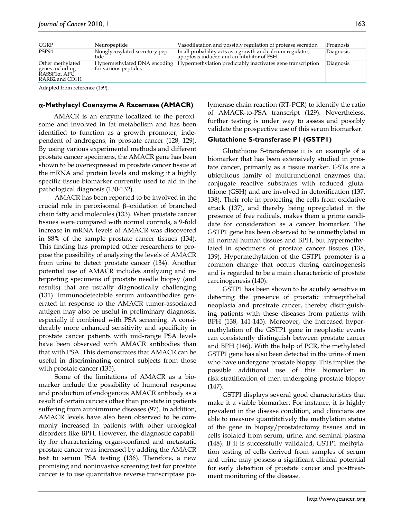| <b>CGRP</b>                                                            | Neuropeptide                           | Vasodilatation and possibly regulation of protease secretion                                              | Prognosis |
|------------------------------------------------------------------------|----------------------------------------|-----------------------------------------------------------------------------------------------------------|-----------|
| PSP94                                                                  | Nonglycosylated secretory pep-<br>tide | In all probability acts as a growth and calcium regulator,<br>apoptosis inducer, and an inhibitor of FSH. | Diagnosis |
| Other methylated<br>genes including<br>RASSF1a, APC,<br>RARB2 and CDH1 | for various peptides                   | Hypermethylated DNA encoding Hypermethylation predictably inactivates gene transcription                  | Diagnosis |

Adapted from reference (159).

#### α**-Methylacyl Coenzyme A Racemase (AMACR)**

AMACR is an enzyme localized to the peroxisome and involved in fat metabolism and has been identified to function as a growth promoter, independent of androgens, in prostate cancer (128, 129). By using various experimental methods and different prostate cancer specimens, the AMACR gene has been shown to be overexpressed in prostate cancer tissue at the mRNA and protein levels and making it a highly specific tissue biomarker currently used to aid in the pathological diagnosis (130-132).

AMACR has been reported to be involved in the crucial role in peroxisomal β−oxidation of branched chain fatty acid molecules (133). When prostate cancer tissues were compared with normal controls, a 9-fold increase in mRNA levels of AMACR was discovered in 88% of the sample prostate cancer tissues (134). This finding has prompted other researchers to propose the possibility of analyzing the levels of AMACR from urine to detect prostate cancer (134). Another potential use of AMACR includes analyzing and interpreting specimens of prostate needle biopsy (and results) that are usually diagnostically challenging (131). Immunodetectable serum autoantibodies generated in response to the AMACR tumor-associated antigen may also be useful in preliminary diagnosis, especially if combined with PSA screening. A considerably more enhanced sensitivity and specificity in prostate cancer patients with mid-range PSA levels have been observed with AMACR antibodies than that with PSA. This demonstrates that AMACR can be useful in discriminating control subjects from those with prostate cancer (135).

Some of the limitations of AMACR as a biomarker include the possibility of humoral response and production of endogenous AMACR antibody as a result of certain cancers other than prostate in patients suffering from autoimmune diseases (97). In addition, AMACR levels have also been observed to be commonly increased in patients with other urological disorders like BPH. However, the diagnostic capability for characterizing organ-confined and metastatic prostate cancer was increased by adding the AMACR test to serum PSA testing (136). Therefore, a new promising and noninvasive screening test for prostate cancer is to use quantitative reverse transcriptase po-

lymerase chain reaction (RT-PCR) to identify the ratio of AMACR-to-PSA transcript (129). Nevertheless, further testing is under way to assess and possibly validate the prospective use of this serum biomarker.

# **Glutathione S-transferase P1 (GSTP1)**

Glutathione S-transferase π is an example of a biomarker that has been extensively studied in prostate cancer, primarily as a tissue marker. GSTs are a ubiquitous family of multifunctional enzymes that conjugate reactive substrates with reduced glutathione (GSH) and are involved in detoxification (137, 138). Their role in protecting the cells from oxidative attack (137), and thereby being upregulated in the presence of free radicals, makes them a prime candidate for consideration as a cancer biomarker. The GSTP1 gene has been observed to be unmethylated in all normal human tissues and BPH, but hypermethylated in specimens of prostate cancer tissues (138, 139). Hypermethylation of the GSTP1 promoter is a common change that occurs during carcinogenesis and is regarded to be a main characteristic of prostate carcinogenesis (140).

GSTP1 has been shown to be acutely sensitive in detecting the presence of prostatic intraepithelial neoplasia and prostrate cancer, thereby distinguishing patients with these diseases from patients with BPH (138, 141-145). Moreover, the increased hypermethylation of the GSTP1 gene in neoplastic events can consistently distinguish between prostate cancer and BPH (146). With the help of PCR, the methylated GSTP1 gene has also been detected in the urine of men who have undergone prostate biopsy. This implies the possible additional use of this biomarker in risk-stratification of men undergoing prostate biopsy  $(147)$ .

GSTPI displays several good characteristics that make it a viable biomarker. For instance, it is highly prevalent in the disease condition, and clinicians are able to measure quantitatively the methylation status of the gene in biopsy/prostatectomy tissues and in cells isolated from serum, urine, and seminal plasma (148). If it is successfully validated, GSTP1 methylation testing of cells derived from samples of serum and urine may possess a significant clinical potential for early detection of prostate cancer and posttreatment monitoring of the disease.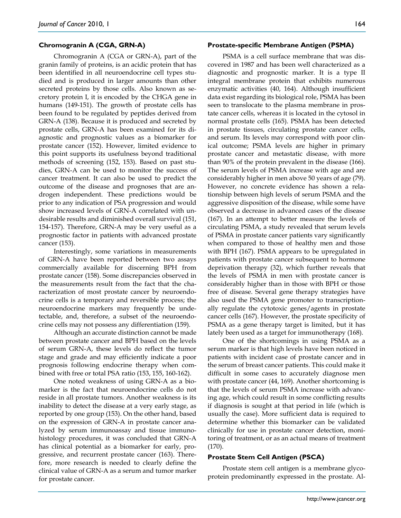### **Chromogranin A (CGA, GRN-A)**

Chromogranin A (CGA or GRN-A), part of the granin family of proteins, is an acidic protein that has been identified in all neuroendocrine cell types studied and is produced in larger amounts than other secreted proteins by those cells. Also known as secretory protein I, it is encoded by the CHGA gene in humans (149-151). The growth of prostate cells has been found to be regulated by peptides derived from GRN-A (138). Because it is produced and secreted by prostate cells, GRN-A has been examined for its diagnostic and prognostic values as a biomarker for prostate cancer (152). However, limited evidence to this point supports its usefulness beyond traditional methods of screening (152, 153). Based on past studies, GRN-A can be used to monitor the success of cancer treatment. It can also be used to predict the outcome of the disease and prognoses that are androgen independent. These predictions would be prior to any indication of PSA progression and would show increased levels of GRN-A correlated with undesirable results and diminished overall survival (151, 154-157). Therefore, GRN-A may be very useful as a prognostic factor in patients with advanced prostate cancer (153).

Interestingly, some variations in measurements of GRN-A have been reported between two assays commercially available for discerning BPH from prostate cancer (158). Some discrepancies observed in the measurements result from the fact that the characterization of most prostate cancer by neuroendocrine cells is a temporary and reversible process; the neuroendocrine markers may frequently be undetectable, and, therefore, a subset of the neuroendocrine cells may not possess any differentiation (159).

Although an accurate distinction cannot be made between prostate cancer and BPH based on the levels of serum GRN-A, these levels do reflect the tumor stage and grade and may efficiently indicate a poor prognosis following endocrine therapy when combined with free or total PSA ratio (153, 155, 160-162).

One noted weakness of using GRN-A as a biomarker is the fact that neuroendocrine cells do not reside in all prostate tumors. Another weakness is its inability to detect the disease at a very early stage, as reported by one group (153). On the other hand, based on the expression of GRN-A in prostate cancer analyzed by serum immunoassay and tissue immunohistology procedures, it was concluded that GRN-A has clinical potential as a biomarker for early, progressive, and recurrent prostate cancer (163). Therefore, more research is needed to clearly define the clinical value of GRN-A as a serum and tumor marker for prostate cancer.

#### **Prostate-specific Membrane Antigen (PSMA)**

PSMA is a cell surface membrane that was discovered in 1987 and has been well characterized as a diagnostic and prognostic marker. It is a type II integral membrane protein that exhibits numerous enzymatic activities (40, 164). Although insufficient data exist regarding its biological role, PSMA has been seen to translocate to the plasma membrane in prostate cancer cells, whereas it is located in the cytosol in normal prostate cells (165). PSMA has been detected in prostate tissues, circulating prostate cancer cells, and serum. Its levels may correspond with poor clinical outcome; PSMA levels are higher in primary prostate cancer and metastatic disease, with more than 90% of the protein prevalent in the disease (166). The serum levels of PSMA increase with age and are considerably higher in men above 50 years of age (79). However, no concrete evidence has shown a relationship between high levels of serum PSMA and the aggressive disposition of the disease, while some have observed a decrease in advanced cases of the disease (167). In an attempt to better measure the levels of circulating PSMA, a study revealed that serum levels of PSMA in prostate cancer patients vary significantly when compared to those of healthy men and those with BPH (167). PSMA appears to be upregulated in patients with prostate cancer subsequent to hormone deprivation therapy (32), which further reveals that the levels of PSMA in men with prostate cancer is considerably higher than in those with BPH or those free of disease. Several gene therapy strategies have also used the PSMA gene promoter to transcriptionally regulate the cytotoxic genes/agents in prostate cancer cells (167). However, the prostate specificity of PSMA as a gene therapy target is limited, but it has lately been used as a target for immunotherapy (168).

One of the shortcomings in using PSMA as a serum marker is that high levels have been noticed in patients with incident case of prostate cancer and in the serum of breast cancer patients. This could make it difficult in some cases to accurately diagnose men with prostate cancer (44, 169). Another shortcoming is that the levels of serum PSMA increase with advancing age, which could result in some conflicting results if diagnosis is sought at that period in life (which is usually the case). More sufficient data is required to determine whether this biomarker can be validated clinically for use in prostate cancer detection, monitoring of treatment, or as an actual means of treatment (170).

#### **Prostate Stem Cell Antigen (PSCA)**

Prostate stem cell antigen is a membrane glycoprotein predominantly expressed in the prostate. Al-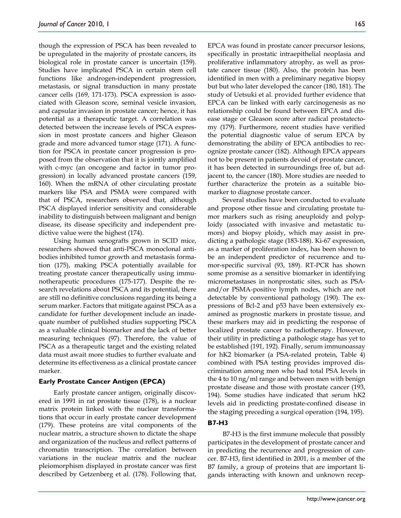though the expression of PSCA has been revealed to be upregulated in the majority of prostate cancers, its biological role in prostate cancer is uncertain (159). Studies have implicated PSCA in certain stem cell functions like androgen-independent progression, metastasis, or signal transduction in many prostate cancer cells (169, 171-173). PSCA expression is associated with Gleason score, seminal vesicle invasion, and capsular invasion in prostate cancer; hence, it has potential as a therapeutic target. A correlation was detected between the increase levels of PSCA expression in most prostate cancers and higher Gleason grade and more advanced tumor stage (171). A function for PSCA in prostate cancer progression is proposed from the observation that it is jointly amplified with c-myc (an oncogene and factor in tumor progression) in locally advanced prostate cancers (159, 160). When the mRNA of other circulating prostate markers like PSA and PSMA were compared with that of PSCA, researchers observed that, although PSCA displayed inferior sensitivity and considerable inability to distinguish between malignant and benign disease, its disease specificity and independent predictive value were the highest (174).

Using human xenografts grown in SCID mice, researchers showed that anti-PSCA monoclonal antibodies inhibited tumor growth and metastasis formation (175), making PSCA potentially available for treating prostate cancer therapeutically using immunotherapeutic procedures (175-177). Despite the research revelations about PSCA and its potential, there are still no definitive conclusions regarding its being a serum marker. Factors that mitigate against PSCA as a candidate for further development include an inadequate number of published studies supporting PSCA as a valuable clinical biomarker and the lack of better measuring techniques (97). Therefore, the value of PSCA as a therapeutic target and the existing related data must await more studies to further evaluate and determine its effectiveness as a clinical prostate cancer marker.

# **Early Prostate Cancer Antigen (EPCA)**

Early prostate cancer antigen, originally discovered in 1991 in rat prostate tissue (178), is a nuclear matrix protein linked with the nuclear transformations that occur in early prostate cancer development (179). These proteins are vital components of the nuclear matrix, a structure shown to dictate the shape and organization of the nucleus and reflect patterns of chromatin transcription. The correlation between variations in the nuclear matrix and the nuclear pleiomorphism displayed in prostate cancer was first described by Getzenberg et al. (178). Following that,

EPCA was found in prostate cancer precursor lesions, specifically in prostatic intraepithelial neoplasia and proliferative inflammatory atrophy, as well as prostate cancer tissue (180). Also, the protein has been identified in men with a preliminary negative biopsy but but who later developed the cancer (180, 181). The study of Uetsuki et al. provided further evidence that EPCA can be linked with early carcinogenesis as no relationship could be found between EPCA and disease stage or Gleason score after radical prostatectomy (179). Furthermore, recent studies have verified the potential diagnostic value of serum EPCA by demonstrating the ability of EPCA antibodies to recognize prostate cancer (182). Although EPCA appears not to be present in patients devoid of prostate cancer, it has been detected in surroundings free of, but adjacent to, the cancer (180). More studies are needed to further characterize the protein as a suitable biomarker to diagnose prostate cancer.

Several studies have been conducted to evaluate and propose other tissue and circulating prostate tumor markers such as rising aneuploidy and polyploidy (associated with invasive and metastatic tumors) and biopsy ploidy, which may assist in predicting a pathologic stage (183-188). Ki-67 expression, as a marker of proliferation index, has been shown to be an independent predictor of recurrence and tumor-specific survival (93, 189). RT-PCR has shown some promise as a sensitive biomarker in identifying micrometastases in nonprostatic sites, such as PSAand/or PSMA-positive lymph nodes, which are not detectable by conventional pathology (190). The expressions of Bcl-2 and p53 have been extensively examined as prognostic markers in prostate tissue, and these markers may aid in predicting the response of localized prostate cancer to radiotherapy. However, their utility in predicting a pathologic stage has yet to be established (191, 192). Finally, serum immunoassay for hK2 biomarker (a PSA-related protein, Table 4) combined with PSA testing provides improved discrimination among men who had total PSA levels in the 4 to 10 ng/ml range and between men with benign prostate disease and those with prostate cancer (193, 194). Some studies have indicated that serum hK2 levels aid in predicting prostate-confined disease in the staging preceding a surgical operation (194, 195).

# **B7-H3**

B7-H3 is the first immune molecule that possibly participates in the development of prostate cancer and in predicting the recurrence and progression of cancer. B7-H3, first identified in 2001, is a member of the B7 family, a group of proteins that are important ligands interacting with known and unknown recep-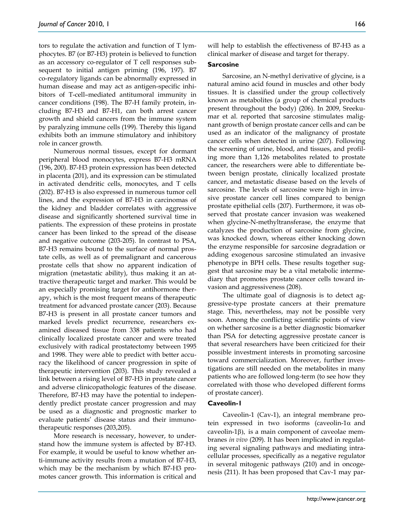tors to regulate the activation and function of T lymphocytes. B7 (or B7-H3) protein is believed to function as an accessory co-regulator of T cell responses subsequent to initial antigen priming (196, 197). B7 co-regulatory ligands can be abnormally expressed in human disease and may act as antigen-specific inhibitors of T-cell–mediated antitumoral immunity in cancer conditions (198). The B7-H family protein, including B7-H3 and B7-H1, can both arrest cancer growth and shield cancers from the immune system by paralyzing immune cells (199). Thereby this ligand exhibits both an immune stimulatory and inhibitory role in cancer growth.

Numerous normal tissues, except for dormant peripheral blood monocytes, express B7-H3 mRNA (196, 200). B7-H3 protein expression has been detected in placenta (201), and its expression can be stimulated in activated dendritic cells, monocytes, and T cells (202). B7-H3 is also expressed in numerous tumor cell lines, and the expression of B7-H3 in carcinomas of the kidney and bladder correlates with aggressive disease and significantly shortened survival time in patients. The expression of these proteins in prostate cancer has been linked to the spread of the disease and negative outcome (203-205). In contrast to PSA, B7-H3 remains bound to the surface of normal prostate cells, as well as of premalignant and cancerous prostate cells that show no apparent indication of migration (metastatic ability), thus making it an attractive therapeutic target and marker. This would be an especially promising target for antihormone therapy, which is the most frequent means of therapeutic treatment for advanced prostate cancer (203). Because B7-H3 is present in all prostate cancer tumors and marked levels predict recurrence, researchers examined diseased tissue from 338 patients who had clinically localized prostate cancer and were treated exclusively with radical prostatectomy between 1995 and 1998. They were able to predict with better accuracy the likelihood of cancer progression in spite of therapeutic intervention (203). This study revealed a link between a rising level of B7-H3 in prostate cancer and adverse clinicopathologic features of the disease. Therefore, B7-H3 may have the potential to independently predict prostate cancer progression and may be used as a diagnostic and prognostic marker to evaluate patients' disease status and their immunotherapeutic responses (203,205).

More research is necessary, however, to understand how the immune system is affected by B7-H3. For example, it would be useful to know whether anti-immune activity results from a mutation of B7-H3, which may be the mechanism by which B7-H3 promotes cancer growth. This information is critical and

will help to establish the effectiveness of B7-H3 as a clinical marker of disease and target for therapy.

## **Sarcosine**

Sarcosine, an N-methyl derivative of glycine, is a natural amino acid found in muscles and other body tissues. It is classified under the group collectively known as metabolites (a group of chemical products present throughout the body) (206). In 2009, Sreekumar et al. reported that sarcosine stimulates malignant growth of benign prostate cancer cells and can be used as an indicator of the malignancy of prostate cancer cells when detected in urine (207). Following the screening of urine, blood, and tissues, and profiling more than 1,126 metabolites related to prostate cancer, the researchers were able to differentiate between benign prostate, clinically localized prostate cancer, and metastatic disease based on the levels of sarcosine. The levels of sarcosine were high in invasive prostate cancer cell lines compared to benign prostate epithelial cells (207). Furthermore, it was observed that prostate cancer invasion was weakened when glycine-N-methyltransferase, the enzyme that catalyzes the production of sarcosine from glycine, was knocked down, whereas either knocking down the enzyme responsible for sarcosine degradation or adding exogenous sarcosine stimulated an invasive phenotype in BPH cells. These results together suggest that sarcosine may be a vital metabolic intermediary that promotes prostate cancer cells toward invasion and aggressiveness (208).

The ultimate goal of diagnosis is to detect aggressive-type prostate cancers at their premature stage. This, nevertheless, may not be possible very soon. Among the conflicting scientific points of view on whether sarcosine is a better diagnostic biomarker than PSA for detecting aggressive prostate cancer is that several researchers have been criticized for their possible investment interests in promoting sarcosine toward commercialization. Moreover, further investigations are still needed on the metabolites in many patients who are followed long-term (to see how they correlated with those who developed different forms of prostate cancer).

# **Caveolin-1**

Caveolin-1 (Cav-1), an integral membrane protein expressed in two isoforms (caveolin-1α and caveolin-1β), is a main component of caveolae membranes *in vivo* (209). It has been implicated in regulating several signaling pathways and mediating intracellular processes, specifically as a negative regulator in several mitogenic pathways (210) and in oncogenesis (211). It has been proposed that Cav-1 may par-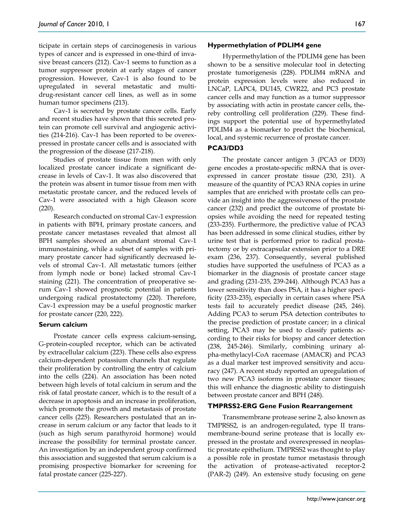ticipate in certain steps of carcinogenesis in various types of cancer and is expressed in one-third of invasive breast cancers (212). Cav-1 seems to function as a tumor suppressor protein at early stages of cancer progression. However, Cav-1 is also found to be upregulated in several metastatic and multidrug-resistant cancer cell lines, as well as in some human tumor specimens (213).

Cav-1 is secreted by prostate cancer cells. Early and recent studies have shown that this secreted protein can promote cell survival and angiogenic activities (214-216). Cav-1 has been reported to be overexpressed in prostate cancer cells and is associated with the progression of the disease (217-218).

Studies of prostate tissue from men with only localized prostate cancer indicate a significant decrease in levels of Cav-1. It was also discovered that the protein was absent in tumor tissue from men with metastatic prostate cancer, and the reduced levels of Cav-1 were associated with a high Gleason score  $(220)$ .

Research conducted on stromal Cav-1 expression in patients with BPH, primary prostate cancers, and prostate cancer metastases revealed that almost all BPH samples showed an abundant stromal Cav-1 immunostaining, while a subset of samples with primary prostate cancer had significantly decreased levels of stromal Cav-1. All metastatic tumors (either from lymph node or bone) lacked stromal Cav-1 staining (221). The concentration of preoperative serum Cav-1 showed prognostic potential in patients undergoing radical prostatectomy (220). Therefore, Cav-1 expression may be a useful prognostic marker for prostate cancer (220, 222).

# **Serum calcium**

Prostate cancer cells express calcium-sensing, G-protein-coupled receptor, which can be activated by extracellular calcium (223). These cells also express calcium-dependent potassium channels that regulate their proliferation by controlling the entry of calcium into the cells (224). An association has been noted between high levels of total calcium in serum and the risk of fatal prostate cancer, which is to the result of a decrease in apoptosis and an increase in proliferation, which promote the growth and metastasis of prostate cancer cells (225). Researchers postulated that an increase in serum calcium or any factor that leads to it (such as high serum parathyroid hormone) would increase the possibility for terminal prostate cancer. An investigation by an independent group confirmed this association and suggested that serum calcium is a promising prospective biomarker for screening for fatal prostate cancer (225-227).

# **Hypermethylation of PDLIM4 gene**

Hypermethylation of the PDLIM4 gene has been shown to be a sensitive molecular tool in detecting prostate tumorigenesis (228). PDLIM4 mRNA and protein expression levels were also reduced in LNCaP, LAPC4, DU145, CWR22, and PC3 prostate cancer cells and may function as a tumor suppressor by associating with actin in prostate cancer cells, thereby controlling cell proliferation (229). These findings support the potential use of hypermethylated PDLIM4 as a biomarker to predict the biochemical, local, and systemic recurrence of prostate cancer.

# **PCA3/DD3**

The prostate cancer antigen 3 (PCA3 or DD3) gene encodes a prostate-specific mRNA that is overexpressed in cancer prostate tissue (230, 231). A measure of the quantity of PCA3 RNA copies in urine samples that are enriched with prostate cells can provide an insight into the aggressiveness of the prostate cancer (232) and predict the outcome of prostate biopsies while avoiding the need for repeated testing (233-235). Furthermore, the predictive value of PCA3 has been addressed in some clinical studies, either by urine test that is performed prior to radical prostatectomy or by extracapsular extension prior to a DRE exam (236, 237). Consequently, several published studies have supported the usefulness of PCA3 as a biomarker in the diagnosis of prostate cancer stage and grading (231-235, 239-244). Although PCA3 has a lower sensitivity than does PSA, it has a higher specificity (233-235), especially in certain cases where PSA tests fail to accurately predict disease (245, 246). Adding PCA3 to serum PSA detection contributes to the precise prediction of prostate cancer; in a clinical setting, PCA3 may be used to classify patients according to their risks for biopsy and cancer detection (238, 245-246). Similarly, combining urinary alpha-methylacyl-CoA racemase (AMACR) and PCA3 as a dual marker test improved sensitivity and accuracy (247). A recent study reported an upregulation of two new PCA3 isoforms in prostate cancer tissues; this will enhance the diagnostic ability to distinguish between prostate cancer and BPH (248).

# **TMPRSS2-ERG Gene Fusion Rearrangement**

Transmembrane protease serine 2, also known as TMPRSS2, is an androgen-regulated, type II transmembrane-bound serine protease that is locally expressed in the prostate and overexpressed in neoplastic prostate epithelium. TMPRSS2 was thought to play a possible role in prostate tumor metastasis through the activation of protease-activated receptor-2 (PAR-2) (249). An extensive study focusing on gene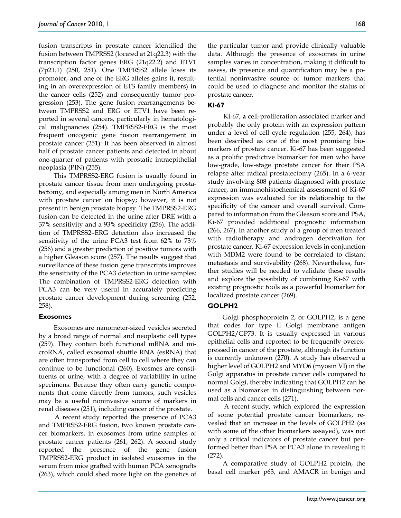fusion transcripts in prostate cancer identified the fusion between TMPRSS2 (located at 21q22.3) with the transcription factor genes ERG (21q22.2) and ETV1 (7p21.1) (250, 251). One TMPRSS2 allele loses its promoter, and one of the ERG alleles gains it, resulting in an overexpression of ETS family members) in the cancer cells (252) and consequently tumor progression (253). The gene fusion rearrangements between TMPRSS2 and ERG or ETV1 have been reported in several cancers, particularly in hematological malignancies (254). TMPRSS2-ERG is the most frequent oncogenic gene fusion rearrangement in prostate cancer (251): It has been observed in almost half of prostate cancer patients and detected in about one-quarter of patients with prostatic intraepithelial neoplasia (PIN) (255).

This TMPRSS2-ERG fusion is usually found in prostate cancer tissue from men undergoing prostatectomy, and especially among men in North America with prostate cancer on biopsy; however, it is not present in benign prostate biopsy. The TMPRSS2-ERG fusion can be detected in the urine after DRE with a 37% sensitivity and a 93% specificity (256). The addition of TMPRSS2–ERG detection also increased the sensitivity of the urine PCA3 test from 62% to 73% (256) and a greater prediction of positive tumors with a higher Gleason score (257). The results suggest that surveillance of these fusion gene transcripts improves the sensitivity of the PCA3 detection in urine samples: The combination of TMPRSS2-ERG detection with PCA3 can be very useful in accurately predicting prostate cancer development during screening (252, 258).

# **Exosomes**

Exosomes are nanometer-sized vesicles secreted by a broad range of normal and neoplastic cell types (259). They contain both functional mRNA and microRNA, called exosomal shuttle RNA (esRNA) that are often transported from cell to cell where they can continue to be functional (260). Exosmes are constituents of urine, with a degree of variability in urine specimens. Because they often carry genetic components that come directly from tumors, such vesicles may be a useful noninvasive source of markers in renal diseases (251), including cancer of the prostate.

A recent study reported the presence of PCA3 and TMPRSS2-ERG fusion, two known prostate cancer biomarkers, in exosomes from urine samples of prostate cancer patients (261, 262). A second study reported the presence of the gene fusion TMPRSS2-ERG product in isolated exosomes in the serum from mice grafted with human PCA xenografts (263), which could shed more light on the genetics of

the particular tumor and provide clinically valuable data. Although the presence of exosomes in urine samples varies in concentration, making it difficult to assess, its presence and quantification may be a potential noninvasive source of tumor markers that could be used to diagnose and monitor the status of prostate cancer.

# **Ki-67**

Ki-67, **a** cell-proliferation associated marker and probably the only protein with an expression pattern under a level of cell cycle regulation (255, 264), has been described as one of the most promising biomarkers of prostate cancer. Ki-67 has been suggested as a prolific predictive biomarker for men who have low-grade, low-stage prostate cancer for their PSA relapse after radical prostatectomy (265). In a 6-year study involving 808 patients diagnosed with prostate cancer, an immunohistochemical assessment of Ki-67 expression was evaluated for its relationship to the specificity of the cancer and overall survival. Compared to information from the Gleason score and PSA, Ki-67 provided additional prognostic information (266, 267). In another study of a group of men treated with radiotherapy and androgen deprivation for prostate cancer, Ki-67 expression levels in conjunction with MDM2 were found to be correlated to distant metastasis and survivability (268). Nevertheless, further studies will be needed to validate these results and explore the possibility of combining Ki-67 with existing prognostic tools as a powerful biomarker for localized prostate cancer (269).

# **GOLPH2**

Golgi phosphoprotein 2, or GOLPH2, is a gene that codes for type II Golgi membrane antigen GOLPH2/GP73. It is usually expressed in various epithelial cells and reported to be frequently overexpressed in cancer of the prostate, although its function is currently unknown (270). A study has observed a higher level of GOLPH2 and MYO6 (myosin VI) in the Golgi apparatus in prostate cancer cells compared to normal Golgi, thereby indicating that GOLPH2 can be used as a biomarker in distinguishing between normal cells and cancer cells (271).

A recent study, which explored the expression of some potential prostate cancer biomarkers, revealed that an increase in the levels of GOLPH2 (as with some of the other biomarkers assayed), was not only a critical indicators of prostate cancer but performed better than PSA or PCA3 alone in revealing it (272).

A comparative study of GOLPH2 protein, the basal cell marker p63, and AMACR in benign and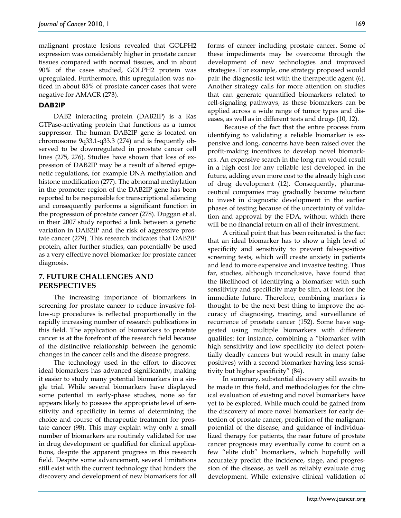malignant prostate lesions revealed that GOLPH2 expression was considerably higher in prostate cancer tissues compared with normal tissues, and in about 90% of the cases studied, GOLPH2 protein was upregulated. Furthermore, this upregulation was noticed in about 85% of prostate cancer cases that were negative for AMACR (273).

### **DAB2IP**

DAB2 interacting protein (DAB2IP) is a Ras GTPase-activating protein that functions as a tumor suppressor. The human DAB2IP gene is located on chromosome 9q33.1-q33.3 (274) and is frequently observed to be downregulated in prostate cancer cell lines (275, 276). Studies have shown that loss of expression of DAB2IP may be a result of altered epigenetic regulations, for example DNA methylation and histone modification (277). The abnormal methylation in the promoter region of the DAB2IP gene has been reported to be responsible for transcriptional silencing and consequently performs a significant function in the progression of prostate cancer (278). Duggan et al. in their 2007 study reported a link between a genetic variation in DAB2IP and the risk of aggressive prostate cancer (279). This research indicates that DAB2IP protein, after further studies, can potentially be used as a very effective novel biomarker for prostate cancer diagnosis.

# **7. FUTURE CHALLENGES AND PERSPECTIVES**

The increasing importance of biomarkers in screening for prostate cancer to reduce invasive follow-up procedures is reflected proportionally in the rapidly increasing number of research publications in this field. The application of biomarkers to prostate cancer is at the forefront of the research field because of the distinctive relationship between the genomic changes in the cancer cells and the disease progress.

The technology used in the effort to discover ideal biomarkers has advanced significantly, making it easier to study many potential biomarkers in a single trial. While several biomarkers have displayed some potential in early-phase studies, none so far appears likely to possess the appropriate level of sensitivity and specificity in terms of determining the choice and course of therapeutic treatment for prostate cancer (98). This may explain why only a small number of biomarkers are routinely validated for use in drug development or qualified for clinical applications, despite the apparent progress in this research field. Despite some advancement, several limitations still exist with the current technology that hinders the discovery and development of new biomarkers for all

forms of cancer including prostate cancer. Some of these impediments may be overcome through the development of new technologies and improved strategies. For example, one strategy proposed would pair the diagnostic test with the therapeutic agent (6). Another strategy calls for more attention on studies that can generate quantified biomarkers related to cell-signaling pathways, as these biomarkers can be applied across a wide range of tumor types and diseases, as well as in different tests and drugs (10, 12).

Because of the fact that the entire process from identifying to validating a reliable biomarker is expensive and long, concerns have been raised over the profit-making incentives to develop novel biomarkers. An expensive search in the long run would result in a high cost for any reliable test developed in the future, adding even more cost to the already high cost of drug development (12). Consequently, pharmaceutical companies may gradually become reluctant to invest in diagnostic development in the earlier phases of testing because of the uncertainty of validation and approval by the FDA, without which there will be no financial return on all of their investment.

A critical point that has been reiterated is the fact that an ideal biomarker has to show a high level of specificity and sensitivity to prevent false-positive screening tests, which will create anxiety in patients and lead to more expensive and invasive testing. Thus far, studies, although inconclusive, have found that the likelihood of identifying a biomarker with such sensitivity and specificity may be slim, at least for the immediate future. Therefore, combining markers is thought to be the next best thing to improve the accuracy of diagnosing, treating, and surveillance of recurrence of prostate cancer (152). Some have suggested using multiple biomarkers with different qualities: for instance, combining a "biomarker with high sensitivity and low specificity (to detect potentially deadly cancers but would result in many false positives) with a second biomarker having less sensitivity but higher specificity" (84).

In summary, substantial discovery still awaits to be made in this field, and methodologies for the clinical evaluation of existing and novel biomarkers have yet to be explored. While much could be gained from the discovery of more novel biomarkers for early detection of prostate cancer, prediction of the malignant potential of the disease, and guidance of individualized therapy for patients, the near future of prostate cancer prognosis may eventually come to count on a few "elite club" biomarkers, which hopefully will accurately predict the incidence, stage, and progression of the disease, as well as reliably evaluate drug development. While extensive clinical validation of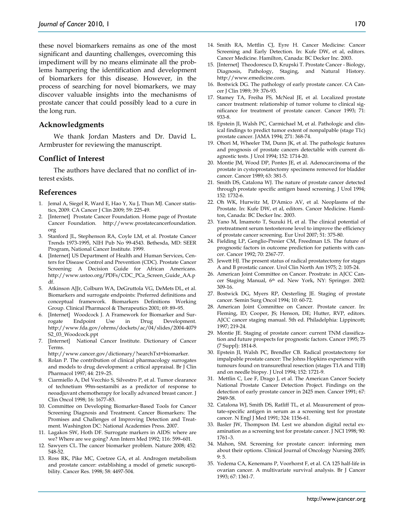these novel biomarkers remains as one of the most significant and daunting challenges, overcoming this impediment will by no means eliminate all the problems hampering the identification and development of biomarkers for this disease. However, in the process of searching for novel biomarkers, we may discover valuable insights into the mechanisms of prostate cancer that could possibly lead to a cure in the long run.

### **Acknowledgments**

We thank Jordan Masters and Dr. David L. Armbruster for reviewing the manuscript.

### **Conflict of Interest**

The authors have declared that no conflict of interest exists.

# **References**

- 1. Jemal A, Siegel R, Ward E, Hao Y, Xu J, Thun MJ. Cancer statistics, 2009. CA Cancer J Clin 2009; 59: 225-49.
- 2. [Internet] Prostate Cancer Foundation. Home page of Prostate Cancer Foundation. http://www.prostatecancerfoundation. org
- 3. Stanford JL, Stephenson RA, Coyle LM, et al. Prostate Cancer Trends 1973-1995, NIH Pub No 99-4543. Bethesda, MD: SEER Program, National Cancer Institute. 1999.
- 4. [Internet] US Department of Health and Human Services, Centers for Disease Control and Prevention (CDC). Prostate Cancer Screening: A Decision Guide for African Americans. http://www.ustoo.org/PDFs/CDC\_PCa\_Screen\_Guide\_AA.p df.
- 5. Atkinson AJJr, Colburn WA, DeGruttola VG, DeMets DL, et al. Biomarkers and surrogate endpoints: Preferred definitions and conceptual framework. Biomarkers Definitions Working Group. Clinical Pharmacol & Therapeutics 2001; 69: 89–95.
- 6. [Internet] Woodcock J. A Framework for Biomarker and Surrogate Endpoint Use in Drug Development. http://www.fda.gov/ohrms/dockets/ac/04/slides/2004-4079 S2\_03\_Woodcock.ppt
- 7. [Internet] National Cancer Institute. Dictionary of Cancer Terms.

http://www.cancer.gov/dictionary/?searchTxt=biomarker.

- 8. Rolan P. The contribution of clinical pharmacology surrogates and models to drug development: a critical appraisal. Br J Clin Pharmacol 1997; 44: 219–25.
- 9. Ciarmiello A, Del Vecchio S, Silvestro P, et al. Tumor clearance of technetium 99m-sestamibi as a predictor of response to neoadjuvant chemotherapy for locally advanced breast cancer. J Clin Oncol 1998; 16: 1677–83.
- 10. Committee on Developing Biomarker-Based Tools for Cancer Screening Diagnosis and Treatment. Cancer Biomarkers: The Promises and Challenges of Improving Detection and Treatment. Washington DC: National Academies Press. 2007.
- 11. Lagakos SW, Hoth DF. Surrogate markers in AIDS: where are we? Where are we going? Ann Intern Med 1992; 116: 599–601.
- 12. Sawyers CL. The cancer biomarker problem. Nature 2008; 452: 548-52.
- 13. Ross RK, Pike MC, Coetzee GA, et al. Androgen metabolism and prostate cancer: establishing a model of genetic susceptibility. Cancer Res. 1998; 58: 4497-504.
- 14. Smith RA, Mettlin CJ, Eyre H. Cancer Medicine: Cancer Screening and Early Detection. In: Kufe DW, et al, editors. Cancer Medicine. Hamilton, Canada: BC Decker Inc. 2003.
- 15. [Internet] Theodorescu D, Krupski T. Prostate Cancer Biology, Diagnosis, Pathology, Staging, and Natural History. http://www.emedicine.com.
- 16. Bostwick DG. The pathology of early prostate cancer. CA Cancer J Clin 1989; 39: 376-93.
- 17. Stamey TA, Freiha FS, McNeal JE, et al. Localized prostate cancer treatment: relationship of tumor volume to clinical significance for treatment of prostate cancer. Cancer 1993; 71: 933-8.
- 18. Epstein JI, Walsh PC, Carmichael M, et al. Pathologic and clinical findings to predict tumor extent of nonpalpable (stage T1c) prostate cancer. JAMA 1994; 271: 368-74.
- 19. Ohori M, Wheeler TM, Dunn JK, et al. The pathologic features and prognosis of prostate cancers detectable with current diagnostic tests. J Urol 1994; 152: 1714-20.
- 20. Montie JM, Wood DP, Pontes JE, et al. Adenocarcinoma of the prostate in cystoprostatectomy specimens removed for bladder cancer. Cancer 1989; 63: 381-5.
- 21. Smith DS, Catalona WJ. The nature of prostate cancer detected through prostate specific antigen based screening. J Urol 1994; 152: 1732-6.
- 22. Oh WK, Hurwitz M, D'Amico AV, et al. Neoplasms of the Prostate. In: Kufe DW, et al, editors. Cancer Medicine. Hamilton, Canada: BC Decker Inc. 2003.
- 23. Yano M, Imamoto T, Suzuki H, et al. The clinical potential of pretreatment serum testosterone level to improve the efficiency of prostate cancer screening. Eur Urol 2007; 51: 375-80.
- 24. Fielding LP, Genglio-Presier CM, Freedman LS. The future of prognostic factors in outcome prediction for patients with cancer. Cancer 1992; 70: 2367-77.
- 25. Jewett HJ. The present status of radical prostatectomy for stages A and B prostatic cancer. Urol Clin North Am 1975; 2: 105-24.
- 26. American Joint Committee on Cancer. Prostrate: in AJCC Cancer Staging Manual, 6<sup>th</sup> ed. New York, NY: Springer. 2002: 309-16.
- 27. Bostwick DG, Myers RP, Oesterling JE. Staging of prostate cancer. Semin Surg Oncol 1994; 10: 60-72.
- 28. American Joint Committee on Cancer. Prostate cancer. In: Fleming, ID; Cooper, JS; Henson, DE; Hutter, RVP, editors. AJCC cancer staging manual. 5th ed. Philadelphia: Lippincott; 1997; 219-24.
- 29. Montie JE. Staging of prostate cancer: current TNM classification and future prospects for prognostic factors. Cancer 1995; 75 (7 Suppl): 1814-8.
- 30. Epstein JI, Walsh PC, Brendler CB. Radical prostatectomy for impalpable prostate cancer: The Johns Hopkins experience with tumours found on transurethral resection (stages T1A and T1B) and on needle biopsy. J Urol 1994; 152: 1721-9.
- 31. Mettlin C, Lee F, Drago J, et al. The American Cancer Society National Prostate Cancer Detection Project. Findings on the detection of early prostate cancer in 2425 men. Cancer 1991; 67: 2949-58.
- 32. Catalona WJ, Smith DS, Ratliff TL, et al. Measurement of prostate-specific antigen in serum as a screening test for prostate cancer. N Engl J Med 1991; 324: 1156-61.
- 33. Basler JW, Thompson IM. Lest we abandon digital rectal examination as a screening test for prostate cancer. J NCI 1998; 90: 1761–3.
- 34. Mahon, SM. Screening for prostate cancer: informing men about their options. Clinical Journal of Oncology Nursing 2005; 9: 5.
- 35. Yedema CA, Kenemans P, Voorhorst F, et al. CA 125 half-life in ovarian cancer. A multivariate survival analysis. Br J Cancer 1993; 67: 1361-7.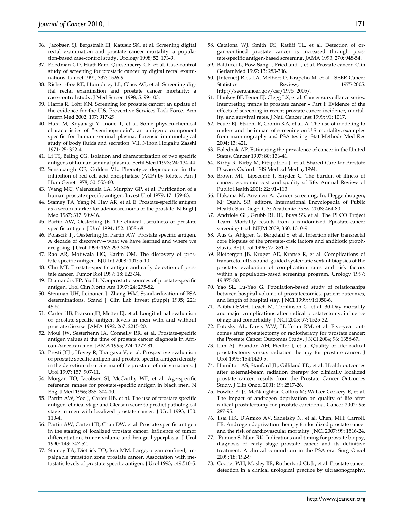- 36. Jacobsen SJ, Bergstralh EJ, Katusic SK, et al. Screening digital rectal examination and prostate cancer mortality: a population-based case-control study. Urology 1998; 52: 173-9.
- 37. Friedman GD, Hiatt Ram, Quesenberry CP, et al. Case-control study of screening for prostatic cancer by digital rectal examinations. Lancet 1991; 337: 1526-9.
- 38. Richert-Boe KE, Humphrey LL, Glass AG, et al. Screening digital rectal examination and prostate cancer mortality: a case-control study. J Med Screen 1998; 5: 99-103.
- 39. Harris R, Lohr KN. Screening for prostate cancer: an update of the evidence for the U.S. Preventive Services Task Force. Ann Intern Med 2002; 137: 917-29.
- 40. Hara M, Koyanagi Y, Inoue T, et al. Some physico-chemical characteristics of "-seminoprotein", an antigenic component specific for human seminal plasma. Forensic immunological study of body fluids and secretion. VII. Nihon Hoigaku Zasshi 1971; 25: 322-4.
- 41. Li TS, Beling CG. Isolation and characterization of two specific antigens of human seminal plasma. Fertil Steril 1973; 24: 134-44.
- 42. Sensabaugh GF, Golden VL. Phenotype dependence in the inhibition of red cell acid phosphatase (ACP) by folates. Am J Hum Genet 1978; 30: 553-60.
- 43. Wang MC, Valenzuela LA, Murphy GP, et al. Purification of a human prostate specific antigen. Invest Urol 1979; 17: 159-63.
- 44. Stamey TA, Yang N, Hay AR, et al. E. Prostate-specific antigen as a serum marker for adenocarcinoma of the prostate. N Engl J Med 1987; 317: 909-16.
- 45. Partin AW, Oesterling JE. The clinical usefulness of prostate specific antigen. J Urol 1994; 152: 1358-68.
- 46. Polascik TJ, Oesterling JE, Partin AW. Prostate specific antigen. A decade of discovery—what we have learned and where we are going. J Urol 1999; 162: 293-306.
- 47. Rao AR, Motiwala HG, Karim OM. The discovery of prostate-specific antigen. BJU Int 2008; 101: 5-10.
- 48. Chu MT. Prostate-specific antigen and early detection of prostate cancer. Tumor Biol 1997; 18: 123-34.
- 49. Diamandis EP, Yu H. Nonprostatic sources of prostate-specific antigen. Urol Clin North Am 1997; 24: 275-82.
- 50. Stenman UH, Leinonen J, Zhang WM. Standardization of PSA determinations. Scand J Clin Lab Invest (Suppl) 1995; 221: 45-51.
- 51. Carter HB, Pearson JD, Metter EJ, et al. Longitudinal evaluation of prostate-specific antigen levels in men with and without prostate disease. JAMA 1992; 267: 2215-20.
- 52. Moul JW, Sesterhenn IA, Connelly RR, et al. Prostate-specific antigen values at the time of prostate cancer diagnosis in African-American men. JAMA 1995; 274: 1277-81.
- 53. Presti JCJr, Hovey R, Bhargava V, et al. Prospective evaluation of prostate specific antigen and prostate specific antigen density in the detection of carcinoma of the prostate: ethnic variations. J Urol 1997; 157: 907-11.
- 54. Morgan TO, Jacobsen SJ, McCarthy WF, et al. Age-specific reference ranges for prostate-specific antigen in black men. N Engl J Med 1996; 335: 304-10.
- 55. Partin AW, Yoo J, Carter HB, et al. The use of prostate specific antigen, clinical stage and Gleason score to predict pathological stage in men with localized prostate cancer. J Urol 1993; 150: 110-4.
- 56. Partin AW, Carter HB, Chan DW, et al. Prostate specific antigen in the staging of localized prostate cancer. Influence of tumor differentiation, tumor volume and benign hyperplasia. J Urol 1990; 143: 747-52.
- 57. Stamey TA, Dietrick DD, Issa MM. Large, organ confined, impalpable transition zone prostate cancer. Association with metastatic levels of prostate specific antigen. J Urol 1993; 149:510-5.
- 58. Catalona WJ, Smith DS, Ratliff TL, et al. Detection of organ-confined prostate cancer is increased through prostate-specific antigen-based screening. JAMA 1993; 270: 948-54.
- 59. Balducci L, Pow-Sang J, Friedland J, et al. Prostate cancer. Clin Geriatr Med 1997; 13: 283-306.
- 60. [Internet] Ries LA, Melbert D, Krapcho M, et al. SEER Cancer Statistics Review, 1975-2005. http://seer.cancer.gov/csr/1975\_2005/.
- 61. Hankey BF, Feuer EJ, Clegg LX, et al. Cancer surveillance series: Interpreting trends in prostate cancer – Part I: Evidence of the effects of screening in recent prostate cancer incidence, mortality, and survival rates. J Natl Cancer Inst 1999; 91: 1017.
- 62. Feuer EJ, Etzioni R, Cronin KA, et al. A. The use of modeling to understand the impact of screening on U.S. mortality: examples from mammography and PSA testing. Stat Methods Med Res 2004; 13: 421.
- 63. Polednak AP. Estimating the prevalence of cancer in the United States. Cancer 1997; 80: 136-41.
- 64. Kirby R, Kirby M, Fitzpatrick J, et al. Shared Care for Prostate Disease. Oxford: ISIS Medical Media, 1994.
- 65. Brown ML, Lipscomb J, Snyder C. The burden of illness of cancer: economic cost and quality of life. Annual Review of Public Health 2001; 22: 91–113.
- 66. Hakama M, Auvinen A. Cancer screening. In: Heggenhougen, Kl; Quah, SR, editors. International Encyclopedia of Public Health. San Diego, CA: Academic Press, 2008: 464-80.
- 67. Andriole GL, Grubb RL III, Buys SS, et al. The PLCO Project Team. Mortality results from a randomized Ppostate-cancer screening trial. NEJM 2009; 360: 1310-9.
- 68. Aus G, Ahlgren G, Bergdahl S, et al. Infection after transrectal core biopsies of the prostate--risk factors and antibiotic prophylaxis. Br J Urol 1996; 77: 851-5.
- 69. Rietbergen JB, Kruger AE, Kranse R, et al. Complications of transrectal ultrasound-guided systematic sextant biopsies of the prostate: evaluation of complication rates and risk factors within a population-based screening program. Urology 1997; 49:875-80.
- 70. Yao SL, Lu-Yao G. Population-based study of relationships between hospital volume of prostatectomies, patient outcomes, and length of hospital stay. J NCI 1999; 91:1950-6.
- 71. Alibhai SMH, Leach M, Tomlinson G, et al. 30-Day mortality and major complications after radical prostatectomy: influence of age and comorbidity. J NCI 2005; 97: 1525-32.
- 72. Potosky AL, Davis WW, Hoffman RM, et al. Five-year outcomes after prostatectomy or radiotherapy for prostate cancer: the Prostate Cancer Outcomes Study. J NCI 2004; 96: 1358-67.
- 73. Lim AJ, Brandon AH, Fiedler J, et al. Quality of life: radical prostatectomy versus radiation therapy for prostate cancer. J Urol 1995; 154:1420-5.
- 74. Hamilton AS, Stanford JL, Gilliland FD, et al. Health outcomes after external-beam radiation therapy for clinically localized prostate cancer: results from the Prostate Cancer Outcomes Study. J Clin Oncol 2001; 19: 2517-26.
- 75. Fowler FJ Jr, McNaughton Collins M; Walker Corkery E, et al. The impact of androgen deprivation on quality of life after radical prostatectomy for prostate carcinoma. Cancer 2002; 95: 287-95.
- 76. Tsai HK, D'Amico AV, Sadetsky N, et al. Chen, MH; Carroll, PR. Androgen deprivation therapy for localized prostate cancer and the risk of cardiovascular mortality. JNCI 2007; 99: 1516-24.
- 77. Punnen S, Nam RK. Indications and timing for prostate biopsy, diagnosis of early stage prostate cancer and its definitive treatment: A clinical conundrum in the PSA era. Surg Oncol 2009; 18: 192-9
- 78. Cooner WH, Mosley BR, Rutherford CL Jr, et al. Prostate cancer detection in a clinical urological practice by ultrasonography,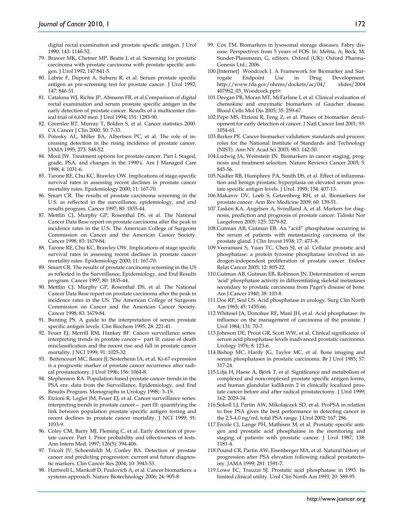digital rectal examination and prostate specific antigen. J Urol 1990; 143: 1146-52.

- 79. Brawer MK, Chetner MP, Beatie J, et al. Screening for prostatic carcinoma with prostate carcinoma with prostate specific antigen. J Urol 1992; 147:841-5.
- 80. Labrie F, Dupont A, Suburu R, et al. Serum prostate specific antigen as pre-screening test for prostate cancer. J Urol 1992; 147: 846-51.
- 81. Catalona WJ, Richie JP, Ahmann FR, et al.Comparison of digital rectal examination and serum prostate specific antigen in the early detection of prostate cancer. Results of a multicenter clinical trial of 6,630 men. J Urol 1994; 151: 1283-90.
- 82. Greenlee RT, Murray T, Bolden S, et al. Cancer statistics 2000. CA Cancer J Clin 2000; 50: 7-33.
- 83. Potosky AL, Miller BA, Albertsen PC, et al. The role of increasing detection in the rising incidence of prostate cancer. JAMA 1995; 273: 548-52.
- 84. Moul JW. Treatment options for prostate cancer. Part I. Staged, grade, PSA, and changes in the 1990's. Am J Managed Care 1998; 4: 1031-6.
- 85. Tarone RE, Chu KC, Brawley OW. Implications of stage-specific survival rates in assessing recent declines in prostate cancer mortality rates. Epidemiology 2000; 11: 167-70.
- 86. Smart CR. The results of prostate carcinoma screening in the U.S. as reflected in the surveillance, epidemiology, and end results program. Cancer 1997; 80: 1835-44.
- 87. Mettlin CJ, Murphy GP, Rosenthal DS, et al. The National Cancer Data Base report on prostate carcinoma after the peak in incidence rates in the U.S. The American College of Surgeons Commission on Cancer and the American Cancer Society. Cancer 1998; 83: 1679-84.
- 88. Tarone RE, Chu KC, Brawley OW. Implications of stage specific survival rates in assessing recent declines in prostate cancer mortality rates. Epidemiology 2000; 11: 167-70.
- 89. Smart CR. The results of prostate carcinoma screening in the US as reflected in the Surveillance, Epidemiology, and End Results program. Cancer 1997; 80: 1835-44.
- 90. Mettlin CJ, Murphy GP, Rosenthal DS, et al. The National Cancer Data Base report on prostate carcinoma after the peak in incidence rates in the US. The American College of Surgeons Commission on Cancer and the American Cancer Society. Cancer 1998; 83: 1679-84.
- 91. Bunting PS. A guide to the interpretation of serum prostate specific antigen levels. Clin Biochem 1995; 28: 221-41.
- 92. Feuer EJ, Merrill RM, Hankey BF. Cancer surveillance series: interpreting trends in prostate cancer— part II: cause of death misclassification and the recent rise and fall in prostate cancer mortality. J NCI 1999; 91: 1025-32.
- 93. Bettencourt MC, Bauer JJ, Sesterhenn IA, et al. Ki-67 expression is a prognostic marker of prostate cancer recurrence after radical prostatectomy. J Urol 1996; 156: 1064-8.
- 94. Stephenson RA. Population-based prostate cancer trends in the PSA era: data from the Surveillance, Epidemiology, and End Results Program. Monographs in Urology 1998;: 3–19.
- 95. Etzioni R, Legler JM, Feuer EJ, et al. Cancer surveillance series: interpreting trends in prostate cancer— part III: quantifying the link between population prostate specific antigen testing and recent declines in prostate cancer mortality. J NCI 1999; 91: 1033-9.
- 96. Coley CM, Barry MJ, Fleming C, et al. Early detection of prostate cancer. Part 1. Prior probability and effectiveness of tests. Ann Intern Med. 1997; 126(5): 394-406.
- 97. Tricoli JV, Schoenfeldt M, Conley BA. Detection of prostate cancer and predicting progression: current and future diagnostic markers. Clin Cancer Res 2004; 10: 3943-53.
- 98. Hartwell L, Mankoff D, Paulovich A, et al. Cancer biomarkers: a systems approach. Nature Biotechnology 2006; 24: 905-8.
- 99. Cox TM. Biomarkers in lysosomal storage diseases. Fabry disease: Perspectives from 5 years of FOS. In: Mehta, A; Beck, M; Sunder-Plassmann, G, editors. Oxford (UK): Oxford Pharma-Genesis Ltd.; 2006.
- 100.[Internet] Woodcock J. A Framework for Biomarker and Surrogate Endpoint Use in Drug Development. http://www.fda.gov/ohrms/dockets/ac/04/ slides/2004 4079S2\_03\_Woodcock.ppt>.
- 101.Deegan PB, Moran MT, McFarlane I, et al. Clinical evaluation of chemokine and enzymatic biomarkers of Gaucher disease. Blood Cells Mol Dis 2005; 35: 259-67.
- 102.Pepe MS, Etzioni R, Feng Z, et al. Phases of biomarker development for early detection of cancer. J Natl Cancer Inst 2001; 93: 1054-61.
- 103.Barker PE. Cancer biomarker validation: standards and process: roles for the National Institute of Standards and Technology (NIST). Ann NY Acad Sci 2003; 983: 142-50.
- 104.Ludwig JA, Weinstein JN. Biomarkers in cancer staging, prognosis and treatment selection. Nature Reviews Cancer 2005; 5: 845-56.
- 105.Nadler RB, Humphrey PA, Smith DS, et al. Effect of inflammation and benign prostatic hyperplasia on elevated serum prostate specific antigen levels. J Urol. 1995; 154: 407-13.
- 106.Makarov DV, Loeb S, Getzenberg RH, et al. Biomarkers for prostate cancer. Ann Rev Medicine 2009; 60: 139-51.
- 107.Taskén KA, Angelsen A, Svindland A, et al. Markers for diagnosis, prediction and prognosis of prostate cancer. Tidsskr Nor Laegeforen 2005; 125: 3279-82.
- 108.Gutman AB, Gutman EB. An "acid" phosphatase occurring in the serum of patients with metastasizing carcinoma of the prostate gland. J Clin Invest 1938; 17: 473–8.
- 109.Veeramani S, Yuan TC, Chen SJ, et al. Cellular prostatic acid phosphatase: a protein tyrosine phosphatase involved in androgen-independent proliferation of prostate cancer. Endocr Relat Cancer 2005; 12: 805-22.
- 110.Gutman AB, Gutman EB, Robinson JN. Determination of serum 'acid' phosphatase activity in differentiating skeletal metastases secondary to prostatic carcinoma from Paget's disease of bone. Am J Cancer 1940; 38: 103-8.
- 111.Doe RP, Seal US. Acid phosphatase in urology. Surg Clin North Am 1965; 45: 1455-66.
- 112.Whitesel JA, Donohue RE, Mani JH, et al. Acid phosphatase: its influence on the management of carcinoma of the prostate. J Urol 1984; 131: 70-7.
- 113.Johnson DE, Prout GR, Scott WW, et al. Clinical significance of serum acid phosphatase levels inadvanced prostatic carcinoma. Urology 1976; 8: 123-6.
- 114.Bishop MC, Hardy JG, Taylor MC, et al. Bone imaging and serum phosphatases in prostatic carcinoma. Br J Urol 1985; 57: 317-24.
- 115.Lilja H, Haese A, Björk T, et al. Significance and metabolism of complexed and noncomplexed prostate specific antigen forms, and human glandular kallikrein 2 in clinically localized prostate cancer before and after radical prostatectomy. J Urol 1999; 162: 2029-34.
- 116.Sokoll LJ, Partin AW, Mikolajczyk SD, et al. ProPSA in relation to free PSA gives the best performance in detecting cancer in the 2.5-4.0 ng/mL total PSA range. J Urol 2002; 167: 286.
- 117.Ercole CJ, Lange PH, Mathisen M, et al. Prostatic specific antigen and prostatic acid phosphatase in the monitoring and staging of patients with prostatic cancer. J Urol 1987; 138: 1181-4.
- 118.Pound CR, Partin AW, Eisenberger MA, et al. Natural history of progression after PSA elevation following radical prostatectomy. JAMA 1999; 281: 1591-7.
- 119.Lowe FC, Trauzzi SJ. Prostatic acid phosphatase in 1993. Its limited clinical utility. Urol Clin North Am 1993; 20: 589-95.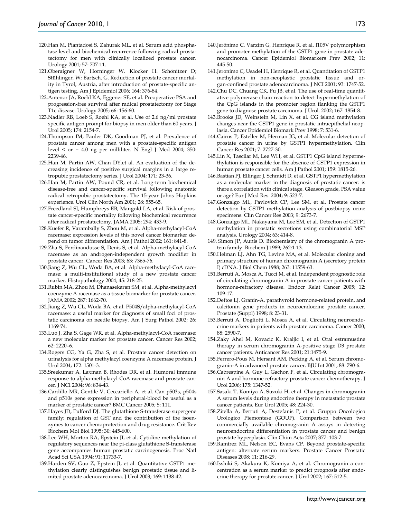- 120.Han M, Piantadosi S, Zahurak ML, et al. Serum acid phosphatase level and biochemical recurrence following radical prostatectomy for men with clinically localized prostate cancer. Urology 2001; 57: 707-11.
- 121.Oberaigner W, Horninger W. Klocker H. Schönitzer D; Stühlinger, W; Bartsch, G. Reduction of prostate cancer mortality in Tyrol, Austria, after introduction of prostate-specific antigen testing. Am J Epidemiol 2006; 164: 376-84.
- 122.Antenor JA, Roehl KA, Eggener SE, et al. Preoperative PSA and progression-free survival after radical prostatectomy for Stage T1c disease. Urology 2005; 66: 156-60.
- 123.Nadler RB, Loeb S, Roehl KA, et al. Use of 2.6 ng/ml prostate specific antigen prompt for biopsy in men older than 60 years. J Urol 2005; 174: 2154-7.
- 124.Thompson IM, Pauler DK, Goodman PJ, et al. Prevalence of prostate cancer among men with a prostate-specific antigen level  $\le$  or = 4.0 ng per milliliter. N Engl J Med 2004; 350: 2239-46.
- 125.Han M, Partin AW, Chan DY,et al. An evaluation of the decreasing incidence of positive surgical margins in a large retropubic prostatectomy series. J Urol 2004; 171: 23-36.
- 126.Han M, Partin AW, Pound CR, et al. Long-term biochemical disease-free and cancer-specific survival following anatomic radical retropubic prostatectomy. The 15-year Johns Hopkins experience. Urol Clin North Am 2001; 28: 555-65.
- 127.Freedland SJ, Humphreys EB, Mangold LA, et al. Risk of prostate cancer-specific mortality following biochemical recurrence after radical prostatectomy. JAMA 2005; 294: 433-9.
- 128.Kuefer R, Varambally S, Zhou M, et al. Alpha-methylacyl-CoA racemase: expression levels of this novel cancer biomarker depend on tumor differentiation. Am J Pathol 2002; 161: 841-8.
- 129.Zha S, Ferdinandusse S, Denis S, et al. Alpha-methylacyl-CoA racemase as an androgen-independent growth modifier in prostate cancer. Cancer Res 2003; 63: 7365-76.
- 130.Jiang Z, Wu CL, Woda BA, et al. Alpha-methylacyl-CoA racemase: a multi-institutional study of a new prostate cancer marker. Histopathology 2004; 45: 218-25.
- 131.Rubin MA, Zhou M, Dhanasekaran SM, et al. Alpha-methylacyl coenzyme A racemase as a tissue biomarker for prostate cancer. JAMA 2002; 287: 1662-70.
- 132.Jiang Z, Wu CL, Woda BA, et al. P504S/alpha-methylacyl-CoA racemase: a useful marker for diagnosis of small foci of prostatic carcinoma on needle biopsy. Am J Surg Pathol 2002; 26: 1169-74.
- 133.Luo J, Zha S, Gage WR, et al. Alpha-methylacyl-CoA racemase: a new molecular marker for prostate cancer. Cancer Res 2002; 62: 2220–6.
- 134.Rogers CG, Ya G, Zha S, et al. Prostate cancer detection on urinalysis for alpha methylacyl coenzyme A racemase protein. J Urol 2004; 172: 1501-3.
- 135.Sreekumar A, Laxman B, Rhodes DR, et al. Humoral immune response to alpha-methylacyl-CoA racemase and prostate cancer. J NCI 2004; 96: 834-43.
- 136.Cardillo MR, Gentile V, Ceccariello A, et al. Can p503s, p504s and p510s gene expression in peripheral-blood be useful as a marker of prostatic cancer? BMC Cancer 2005; 5: 111.
- 137.Hayes JD, Pulford DJ. The glutathione S-transferase supergene family: regulation of GST and the contribution of the isoenzymes to cancer chemoprotection and drug resistance. Crit Rev Biochem Mol Biol 1995; 30: 445-600.
- 138.Lee WH, Morton RA, Epstein JI, et al. Cytidine methylation of regulatory sequences near the pi-class glutathione S-transferase gene accompanies human prostatic carcinogenesis. Proc Natl Acad Sci USA 1994; 91: 11733-7.
- 139.Harden SV, Guo Z, Epstein JI, et al. Quantitative GSTP1 methylation clearly distinguishes benign prostatic tissue and limited prostate adenocarcinoma. J Urol 2003; 169: 1138-42.
- 140.Jerónimo C, Varzim G, Henrique R, et al. I105V polymorphism and promoter methylation of the GSTP1 gene in prostate adenocarcinoma. Cancer Epidemiol Biomarkers Prev 2002; 11: 445-50.
- 141.Jeronimo C, Usadel H, Henrique R, et al. Quantitation of GSTP1 methylation in non-neoplastic prostatic tissue and organ-confined prostate adenocarcinoma. J NCI 2001; 93: 1747-52.
- 142.Chu DC, Chuang CK, Fu JB, et al. The use of real-time quantitative polymerase chain reaction to detect hypermethylation of the CpG islands in the promoter region flanking the GSTP1 gene to diagnose prostate carcinoma. J Urol. 2002; 167: 1854-8.
- 143.Brooks JD, Weinstein M, Lin X, et al. CG island methylation changes near the GSTP1 gene in prostatic intraepithelial neoplasia. Cancer Epidemiol Biomark Prev 1998; 7: 531-6.
- 144.Cairns P, Esteller M, Herman JG, et al. Molecular detection of prostate cancer in urine by GSTP1 hypermethylation. Clin Cancer Res 2001; 7: 2727-30.
- 145.Lin X, Tascilar M, Lee WH, et al. GSTP1 CpG island hypermethylation is responsible for the absence of GSTP1 expression in human prostate cancer cells. Am J Pathol 2001; 159: 1815-26.
- 146.Bastian PJ, Ellinger J, Schmidt D, et al. GSTP1 hypermethylation as a molecular marker in the diagnosis of prostatic cancer: is there a correlation with clinical stage, Gleason grade, PSA value or age? Eur J Med Res. 2004; 9: 523-7.
- 147.Gonzalgo ML, Pavlovich CP, Lee SM, et al. Prostate cancer detection by GSTP1 methylation analysis of postbiopsy urine specimens. Clin Cancer Res 2003; 9: 2673-7.
- 148.Gonzalgo ML, Nakayama M, Lee SM, et al. Detection of GSTP1 methylation in prostatic secretions using combinatorial MSP analysis. Urology 2004; 63: 414-8.
- 149. Simon JP, Aunis D. Biochemistry of the chromogranin A protein family. Biochem J 1989; 262:1-13.
- 150.Helman LJ, Ahn TG, Levine MA, et al. Molecular cloning and primary structure of human chromogranin A (secretory protein I) cDNA. J Biol Chem 1988; 263: 11559-63.
- 151.Berruti A, Mosca A, Tucci M, et al. Independent prognostic role of circulating chromogranin A in prostate cancer patients with hormone-refractory disease. Endocr Relat Cancer 2005; 12: 109-17.
- 152.Deftos LJ. Granin-A, parathyroid hormone-related protein, and calcitonin gene products in neuroendocrine prostate cancer. Prostate (Suppl) 1998; 8: 23-31.
- 153.Berruti A, Dogliotti L, Mosca A, et al. Circulating neuroendocrine markers in patients with prostate carcinoma. Cancer 2000; 88: 2590-7.
- 154.Zaky Ahel M, Kovacic K, Kraljic I, et al. Oral estramustine therapy in serum chromogranin A-positive stage D3 prostate cancer patients. Anticancer Res 2001; 21:1475-9.
- 155.Ferrero-Pous M, Hersant AM, Pecking A, et al. Serum chromogranin-A in advanced prostate cancer. BJU Int 2001; 88: 790-6.
- 156.Cabrespine A, Guy L, Gachon F, et al. Circulating chromogranin A and hormone refractory prostate cancer chemotherapy. J Urol 2006; 175: 1347-52.
- 157.Sasaki T, Komiya A, Suzuki H, et al. Changes in chromogranin A serum levels during endocrine therapy in metastatic prostate cancer patients. Eur Urol 2005; 48: 224-30.
- 158.Zitella A, Berruti A, Destefanis P, et al. Gruppo Oncologico Urologico Piemontese (GOUP). Comparison between two commercially available chromogranin A assays in detecting neuroendocrine differentiation in prostate cancer and benign prostate hyperplasia. Clin Chim Acta 2007; 377: 103-7.
- 159.Ramírez ML, Nelson EC, Evans CP. Beyond prostate-specific antigen: alternate serum markers. Prostate Cancer Prostatic Diseases 2008; 11: 216-29.
- 160.Isshiki S, Akakura K, Komiya A, et al. Chromogranin a concentration as a serum marker to predict prognosis after endocrine therapy for prostate cancer. J Urol 2002; 167: 512-5.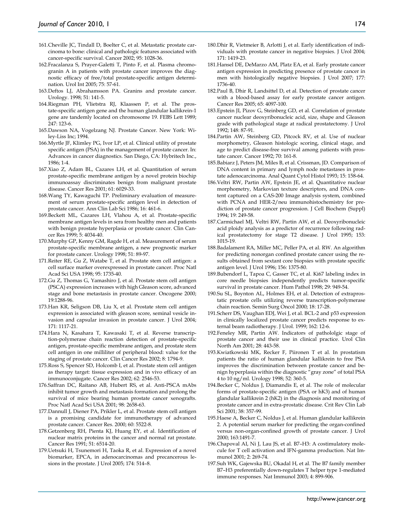- 161.Cheville JC, Tindall D, Boelter C, et al. Metastatic prostate carcinoma to bone: clinical and pathologic features associated with cancer-specific survival. Cancer 2002; 95: 1028-36.
- 162.Fracalanza S, Prayer-Galetti T, Pinto F, et al. Plasma chromogranin A in patients with prostate cancer improves the diagnostic efficacy of free/total prostate-specific antigen determination. Urol Int 2005; 75: 57-61.
- 163.Deftos LJ, Abrahamsson PA. Granins and prostate cancer. Urology. 1998; 51: 141-5.
- 164.Riegman PH, Vlietstra RJ, Klaassen P, et al. The prostate-specific antigen gene and the human glandular kallikrein-1 gene are tandemly located on chromosome 19. FEBS Lett 1989; 247: 123-6.
- 165.Dawson NA, Vogelzang NJ. Prostate Cancer. New York: Wiley-Liss Inc; 1994.
- 166.Myrtle JF, Klimley PG, Ivor LP, et al. Clinical utility of prostate specific antigen (PSA) in the management of prostate cancer. In: Advances in cancer diagnostics. San Diego, CA: Hybritech Inc., 1986; 1-4.
- 167.Xiao Z, Adam BL, Cazares LH, et al. Quantitation of serum prostate-specific membrane antigen by a novel protein biochip immunoassay discriminates benign from malignant prostate disease. Cancer Res 2001; 61: 6029-33.
- 168.Wang TY, Kawaguchi TP. Preliminary evaluation of measurement of serum prostate-specific antigen level in detection of prostate cancer. Ann Clin Lab Sci 1986; 16: 461-6.
- 169.Beckett ML, Cazares LH, Vlahou A, et al. Prostate-specific membrane antigen levels in sera from healthy men and patients with benign prostate hyperplasia or prostate cancer. Clin Cancer Res 1999; 5: 4034-40.
- 170.Murphy GP, Kenny GM, Ragde H, et al. Measurement of serum prostate-specific membrane antigen, a new prognostic marker for prostate cancer. Urology 1998; 51: 89-97.
- 171.Reiter RE, Gu Z, Watabe T, et al. Prostate stem cell antigen: a cell surface marker overexpressed in prostate cancer. Proc Natl Acad Sci USA 1998; 95: 1735-40.
- 172.Gu Z, Thomas G, Yamashiro J, et al. Prostate stem cell antigen (PSCA) expression increases with high Gleason score, advanced stage and bone metastasis in prostate cancer. Oncogene 2000; 19:1288-96.
- 173.Han KR, Seligson DB, Liu X, et al. Prostate stem cell antigen expression is associated with gleason score, seminal vesicle invasion and capsular invasion in prostate cancer. J Urol 2004; 171: 1117-21.
- 174.Hara N, Kasahara T, Kawasaki T, et al. Reverse transcription-polymerase chain reaction detection of prostate-specific antigen, prostate-specific membrane antigen, and prostate stem cell antigen in one milliliter of peripheral blood: value for the staging of prostate cancer. Clin Cancer Res 2002; 8: 1794-9.
- 175.Ross S, Spencer SD, Holcomb I, et al. Prostate stem cell antigen as therapy target: tissue expression and in vivo efficacy of an immunoconjugate. Cancer Res 2002; 62: 2546-53.
- 176.Saffran DC, Raitano AB, Hubert RS, et al. Anti-PSCA mAbs inhibit tumor growth and metastasis formation and prolong the survival of mice bearing human prostate cancer xenografts. Proc Natl Acad Sci USA 2001; 98: 2658-63.
- 177.Dannull J, Diener PA, Prikler L, et al. Prostate stem cell antigen is a promising candidate for immunotherapy of advanced prostate cancer. Cancer Res. 2000; 60: 5522-8.
- 178.Getzenberg RH, Pienta KJ, Huang EY, et al. Identification of nuclear matrix proteins in the cancer and normal rat prostate. Cancer Res 1991; 51: 6514-20.
- 179.Uetsuki H, Tsunemori H, Taoka R, et al. Expression of a novel biomarker, EPCA, in adenocarcinomas and precancerous lesions in the prostate. J Urol 2005; 174: 514–8.
- 180.Dhir R, Vietmeier B, Arlotti J, et al. Early identification of individuals with prostate cancer in negative biopsies. J Urol 2004; 171: 1419-23.
- 181.Hansel DE, DeMarzo AM, Platz EA, et al. Early prostate cancer antigen expression in predicting presence of prostate cancer in men with histologically negative biopsies. J Urol 2007; 177: 1736-40.
- 182.Paul B, Dhir R, Landsittel D, et al. Detection of prostate cancer with a blood-based assay for early prostate cancer antigen. Cancer Res 2005; 65: 4097-100.
- 183.Epstein JI, Pizov G, Steinberg GD, et al. Correlation of prostate cancer nuclear deoxyribonucleic acid, size, shape and Gleason grade with pathological stage at radical prostatectomy. J Urol 1992; 148: 87-91.
- 184.Partin AW, Steinberg GD, Pitcock RV, et al. Use of nuclear morphometry, Gleason histologic scoring, clinical stage, and age to predict disease-free survival among patients with prostate cancer. Cancer 1992; 70: 161-8.
- 185.Babiarz J, Peters JM, Miles B, et al. Crissman, JD. Comparison of DNA content in primary and lymph node metastases in prostate adenocarcinoma. Anal Quant Cytol Histol 1993; 15: 158-64.
- 186.Veltri RW, Partin AW, Epstein JE, et al. Quantitative nuclear morphometry, Markovian texture descriptors, and DNA content captured on a CAS-200 Image analysis system, combined with PCNA and HER-2/neu immunohistochemistry for prediction of prostate cancer progression. J Cell Biochem (Suppl) 1994; 19: 249-58.
- 187.Carmichael MJ, Veltri RW, Partin AW, et al. Deoxyribonucleic acid ploidy analysis as a predictor of recurrence following radical prostatectomy for stage T2 disease. J Urol 1995; 153: 1015-19.
- 188.Badalament RA, Miller MC, Peller PA, et al. RW. An algorithm for predicting nonorgan confined prostate cancer using the results obtained from sextant core biopsies with prostate specific antigen level. J Urol 1996; 156: 1375-80.
- 189.Bubendorf L, Tapoa C, Gasser TC, et al. Ki67 labeling index in core needle biopsies independently predicts tumor-specific survival in prostate cancer. Hum Pathol 1998; 29: 949-54.
- 190.Su SL, Boynton AL, Holmes EH, et al. Detection of extraprostatic prostate cells utilizing reverse transcription-polymerase chain reaction. Semin Surg Oncol 2000; 18: 17-28.
- 191.Scherr DS, Vaughan EDJ, Wei J, et al. BCL-2 and p53 expression in clinically localized prostate cancer predicts response to external beam radiotherapy. J Urol. 1999; 162: 12-6.
- 192.Feneley MR, Partin AW. Indicators of pathololgic stage of prostate cancer and their use in clinical practice. Urol Clin North Am 2001; 28: 443-58.
- 193.Kwiatkowski MK, Recker F, Piironen T et al. In prostatism patients the ratio of human glandular kallikrein to free PSA improves the discrimination between prostate cancer and benign hyperplasia within the diagnostic "gray zone" of total PSA 4 to 10 ng/ml. Urology 1998; 52: 360-5.
- 194.Becker C, Noldus J, Diamandis E, et al. The role of molecular forms of prostate-specific antigen (PSA or hK3) and of human glandular kallikrein 2 (hK2) in the diagnosis and monitoring of prostate cancer and in extra-prostatic disease. Crit Rev Clin Lab Sci 2001; 38: 357-99.
- 195.Haese A, Becker C, Noldus J, et al. Human glandular kallikrein 2. A potential serum marker for predicting the organ-confined versus non-organ-confined growth of prostate cancer. J Urol 2000; 163:1491-7.
- 196.Chapoval AI, Ni J, Lau JS, et al. B7–H3: A costimulatory molecule for T cell activation and IFN-gamma production. Nat Immunol 2001; 2: 269-74.
- 197.Suh WK, Gajewska BU, Okadal H, et al. The B7 family member B7–H3 preferentially down-regulates T helper type 1-mediated immune responses. Nat Immunol 2003; 4: 899-906.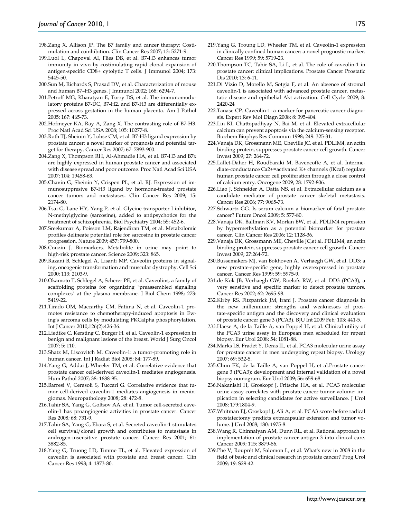- 198.Zang X, Allison JP. The B7 family and cancer therapy: Costimulation and coinhibition. Clin Cancer Res 2007; 13: 5271-9.
- 199.Luol L, Chapoval AI, Flies DB, et al. B7-H3 enhances tumor immunity in vivo by costimulating rapid clonal expansion of antigen-specific CD8+ cytolytic T cells. J Immunol 2004; 173: 5445-50.
- 200.Sun M, Richards S, Prasad DV, et al. Characterization of mouse and human B7–H3 genes. J Immunol 2002; 168: 6294-7.
- 201.Petroff MG, Kharatyan E, Torry DS, et al. The immunomodulatory proteins B7-DC, B7-H2, and B7-H3 are differentially expressed across gestation in the human placenta. Am J Pathol 2005; 167: 465-73.
- 202.Hofmeyer KA, Ray A, Zang X. The contrasting role of B7-H3. Proc Natl Acad Sci USA 2008; 105: 10277-8.
- 203.Roth TJ, Sheinin Y, Lohse CM, et al. B7-H3 ligand expression by prostate cancer: a novel marker of prognosis and potential target for therapy. Cancer Res 2007; 67: 7893-900.
- 204.Zang X, Thompson RH, Al-Ahmadie HA, et al. B7-H3 and B7x are highly expressed in human prostate cancer and associated with disease spread and poor outcome. Proc Natl Acad Sci USA 2007; 104: 19458-63.
- 205.Chavin G, Sheinin Y, Crispen PL, et al. RJ. Expression of immunosuppresive B7-H3 ligand by hormone-treated prostate cancer tumors and metastases. Clin Cancer Res 2009; 15: 2174-80.
- 206.Tsai G, Lane HY, Yang P, et al. Glycine transporter I inhibitor, N-methylglycine (sarcosine), added to antipsychotics for the treatment of schizophrenia. Biol Psychiatry 2004; 55: 452-6.
- 207.Sreekumar A, Poisson LM, Rajendiran TM, et al. Metabolomic profiles delineate potential role for sarcosine in prostate cancer progression. Nature 2009; 457: 799-800.
- 208.Couzin J. Biomarkers. Metabolite in urine may point to high-risk prostate cancer. Science 2009; 323: 865.
- 209.Razani B, Schlegel A, Lisanti MP. Caveolin proteins in signaling, oncogenic transformation and muscular dystrophy. Cell Sci 2000; 113: 2103-9.
- 210.Okamoto T, Schlegel A, Scherer PE, et al. Caveolins, a family of scaffolding proteins for organizing "preassembled signaling complexes" at the plasma membrane. J Biol Chem 1998; 273: 5419-22.
- 211.Tirado OM, Maccarthy CM, Fatima N, et al. Caveolin-1 promotes resistance to chemotherapy-induced apoptosis in Ewing's sarcoma cells by modulating PKCalpha phosphorylation. Int J Cancer 2010;126(2):426-36.
- 212.Liedtke C, Kersting C, Burger H, et al. Caveolin-1 expression in benign and malignant lesions of the breast. World J Surg Oncol 2007; 5: 110.
- 213.Shatz M, Liscovitch M. Caveolin-1: a tumor-promoting role in human cancer. Int J Radiat Biol 2008; 84: 177-89.
- 214.Yang G, Addai J, Wheeler TM, et al. Correlative evidence that prostate cancer cell-derived caveolin-1 mediates angiogenesis. Hum Pathol 2007; 38: 1688-95.
- 215.Barresi V, Cerasoli S, Tuccari G. Correlative evidence that tumor cell-derived caveolin-1 mediates angiogenesis in meningiomas. Neuropathology 2008; 28: 472-8.
- 216.Tahir SA, Yang G, Goltsov AA, et al. Tumor cell-secreted caveolin-1 has proangiogenic activities in prostate cancer. Cancer Res 2008; 68: 731-9.
- 217.Tahir SA, Yang G, Ebara S, et al. Secreted caveolin-1 stimulates cell survival/clonal growth and contributes to metastasis in androgen-insensitive prostate cancer. Cancer Res 2001; 61: 3882-85.
- 218.Yang G, Truong LD, Timme TL, et al. Elevated expression of caveolin is associated with prostate and breast cancer. Clin Cancer Res 1998; 4: 1873-80.
- 219.Yang G, Troung LD, Wheeler TM, et al. Caveolin-1 expression in clinically confined human cancer: a novel prognostic marker. Cancer Res 1999; 59: 5719-23.
- 220.Thompson TC, Tahir SA, Li L, et al. The role of caveolin-1 in prostate cancer: clinical implications. Prostate Cancer Prostatic Dis 2010; 13: 6-11.
- 221.Di Vizio D, Morello M, Sotgia F, et al. An absence of stromal caveolin-1 is associated with advanced prostate cancer, metastatic disease and epithelial Akt activation. Cell Cycle 2009; 8: 2420-24
- 222.Tanase CP. Caveolin-1: a marker for pancreatic cancer diagnosis. Expert Rev Mol Diagn 2008; 8: 395-404.
- 223.Lin KI, Chattopadhyay N, Bai M, et al. Elevated extracellular calcium can prevent apoptosis via the calcium-sensing receptor. Biochem Biophys Res Commun 1998; 249: 325-31.
- 224.Vanaja DK, Grossmann ME, Cheville JC, et al. PDLIM4, an actin binding protein, suppresses prostate cancer cell growth. Cancer Invest 2009; 27: 264-72.
- 225.Lallet-Daher H, Roudbaraki M, Bavencoffe A, et al. Intermediate-conductance Ca2+=activated K+ channels (IKcal) regulate human prostate cancer cell proliferation through a close control of calcium entry. Oncogene 2009; 28: 1792-806.
- 226.Liao J, Schneider A, Datta NS, et al. Extracellular calcium as a candidate mediator of prostate cancer skeletal metastasis. Cancer Res 2006; 77: 9065-73.
- 227.Schwartz GG. Is serum calcium a biomarker of fatal prostate cancer? Future Oncol 2009; 5: 577-80.
- 228.Vanaja DK, Ballman KV, Morlan BW, et al. PDLIM4 repression by hypermethylation as a potential biomarker for prostate cancer. Clin Cancer Res 2006; 12: 1128-36.
- 229.Vanaja DK, Grossmann ME, Cheville JC,et al. PDLIM4, an actin binding protein, suppresses prostate cancer cell growth. Cancer Invest 2009; 27:264-72.
- 230.Bussemakers MJ, van Bokhoven A, Verhaegh GW, et al. DD3: a new prostate-specific gene, highly overexpressed in prostate cancer. Cancer Res 1999; 59: 5975-9.
- 231.de Kok JB, Verhaegh GW, Roelofs RW, et al. DD3 (PCA3), a very sensitive and specific marker to detect prostate tumors. Cancer Res 2002; 62: 2695-98.
- 232.Kirby RS, Fitzpatrick JM, Irani J. Prostate cancer diagnosis in the new millennium: strengths and weaknesses of prostate-specific antigen and the discovery and clinical evaluation of prostate cancer gene 3 (PCA3). BJU Int 2009 Feb; 103: 441-5.
- *233.*Haese A, de la Taille A, van Poppel H, et al. Clinical utility of the PCA3 urine assay in European men scheduled for repeat biopsy. Eur Urol 2008; 54: 1081-88.
- 234.Marks LS, Fradet Y, Deras IL, et al. PCA3 molecular urine assay for prostate cancer in men undergoing repeat biopsy. Urology 2007; 69: 532-5.
- 235.Chun FK, de la Taille A, van Poppel H, et al.Prostate cancer gene 3 (PCA3): development and internal validation of a novel biopsy nomogram. Eur Urol 2009; 56: 659-68
- 236.Nakanishi H, Groskopf J, Fritsche HA, et al. PCA3 molecular urine assay correlates with prostate cancer tumor volume: implication in selecting candidates for active surveillance. J Urol 2008; 179:1804-9.
- 237.Whitman EJ, Groskopf J, Ali A, et al. PCA3 score before radical prostatectomy predicts extracapsular extension and tumor volume. J Urol 2008; 180: 1975-8.
- 238.Wang R, Chinnaiyan AM, Dunn RL, et al. Rational approach to implementation of prostate cancer antigen 3 into clinical care. Cancer 2009; 115: 3879-86.
- 239.Phé V, Rouprêt M, Salomon L, et al. What's new in 2008 in the field of basic and clinical research in prostate cancer? Prog Urol 2009; 19: S29-42.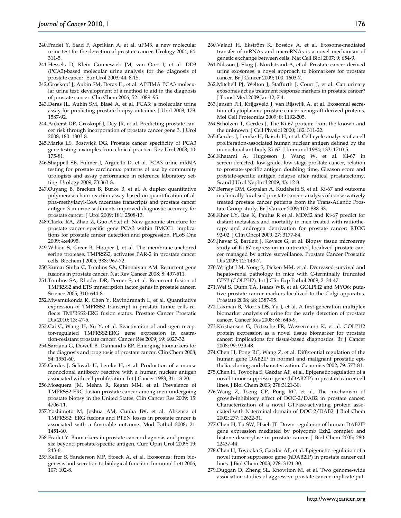- 240.Fradet Y, Saad F, Aprikian A, et al. uPM3, a new molecular urine test for the detection of prostate cancer. Urology 2004; 64: 311-5.
- 241.Hessels D, Klein Gunnewiek JM, van Oort I, et al. DD3 (PCA3)-based molecular urine analysis for the diagnosis of prostate cancer. Eur Urol 2003; 44: 8-15.
- 242.Groskopf J, Aubin SM, Deras IL, et al. APTIMA PCA3 molecular urine test: development of a method to aid in the diagnosis of prostate cancer. Clin Chem 2006; 52: 1089–95.
- 243.Deras IL, Aubin SM, Blasé A, et al. PCA3: a molecular urine assay for predicting prostate biopsy outcome. J Urol 2008; 179: 1587-92.
- 244.Ankerst DP, Groskopf J, Day JR, et al. Predicting prostate cancer risk through incorporation of prostate cancer gene 3. J Urol 2008; 180: 1303-8.
- 245.Marks LS, Bostwick DG. Prostate cancer specificity of PCA3 gene testing: examples from clinical practice. Rev Urol 2008; 10: 175-81.
- 246.Shappell SB, Fulmer J, Arguello D, et al. PCA3 urine mRNA testing for prostate carcinoma: patterns of use by community urologists and assay performance in reference laboratory setting. Urology 2009; 73:363-8.
- 247.Ouyang B, Bracken B, Burke B, et al. A duplex quantitative polymerase chain reaction assay based on quantification of alpha-methylacyl-CoA racemase transcripts and prostate cancer antigen 3 in urine sediments improved diagnostic accuracy for prostate cancer. J Urol 2009; 181: 2508-13.
- 248.Clarke RA, Zhao Z, Guo AY,et al. New genomic structure for prostate cancer specific gene PCA3 within BMCC1: implications for prostate cancer detection and progression. PLoS One 2009; 4:e4995.
- 249.Wilson S, Greer B, Hooper J, et al. The membrane-anchored serine protease, TMPRSS2, activates PAR-2 in prostate cancer cells. Biochem J 2005; 388: 967-72.
- 250.Kumar-Sinha C, Tomlins SA, Chinnaiyan AM. Recurrent gene fusions in prostate cancer. Nat Rev Cancer 2008; 8: 497-511.
- 251.Tomlins SA, Rhodes DR, Perner S, et al. Recurrent fusion of TMPRSS2 and ETS transcription factor genes in prostate cancer. Science 2005; 310: 644-8.
- 252.Mwamukonda K, Chen Y, Ravindranath L, et al. Quantitative expression of TMPRSS2 transcript in prostate tumor cells reflects TMPRSS2-ERG fusion status. Prostate Cancer Prostatic Dis 2010; 13: 47-5.
- 253.Cai C, Wang H, Xu Y, et al. Reactivation of androgen receptor-regulated TMPRSS2:ERG gene expression in castration-resistant prostate cancer. Cancer Res 2009; 69: 6027-32.
- 254.Sardana G, Dowell B, Diamandis EP. Emerging biomarkers for the diagnosis and prognosis of prostate cancer. Clin Chem 2008; 54: 1951-60.
- 255.Gerdes J, Schwab U, Lemke H, et al. Production of a mouse monoclonal antibody reactive with a human nuclear antigen associated with cell proliferation. Int J Cancer 1983; 31: 13-20.
- 256.Mosquera JM, Mehra R, Regan MM, et al. Prevalence of TMPRSS2-ERG fusion prostate cancer among men undergoing prostate biopsy in the United States. Clin Cancer Res 2009; 15: 4706-11.
- 257.Yoshimoto M, Joshua AM, Cunha IW, et al. Absence of TMPRSS2: ERG fusions and PTEN losses in prostate cancer is associated with a favorable outcome. Mod Pathol 2008; 21: 1451-60.
- 258.Fradet Y. Biomarkers in prostate cancer diagnosis and prognosis: beyond prostate-specific antigen. Curr Opin Urol 2009; 19: 243-6.
- *259.*Keller S, Sanderson MP, Stoeck A, et al. Exosomes: from biogenesis and secretion to biological function. Immunol Lett 2006; 107: 102-8.
- *260.*Valadi H, Ekström K, Bossios A, et al. Exosome-mediated transfer of mRNAs and microRNAs is a novel mechanism of genetic exchange between cells. Nat Cell Biol 2007; 9: 654-9.
- 261.Nilsson J, Skog J, Nordstrand A, et al. Prostate cancer-derived urine exosomes: a novel approach to biomarkers for prostate cancer. Br J Cancer 2009; 100: 1603-7.
- 262.Mitchell PJ, Welton J, Staffurth J, Court J, et al. Can urinary exosomes act as treatment response markers in prostate cancer? J Transl Med 2009 Jan 12; 7:4.
- 263.Jansen FH, Krijgsveld J, van Rijswijk A, et al. Exosomal secretion of cytoplasmic prostate cancer xenograft-derived proteins. Mol Cell Proteomics 2009; 8: 1192-205.
- *264.*Scholzen T, Gerdes J. The Ki-67 protein: from the known and the unknown. J Cell Physiol 2000; 182: 311-22.
- 265.Gerdes J, Lemke H, Baisch H, et al. Cell cycle analysis of a cell proliferation-associated human nuclear antigen defined by the monoclonal antibody Ki-67. J Immunol 1984; 133: 1710-5.
- 266.Khatami A, Hugosson J, Wang W, et al. Ki-67 in screen-detected, low-grade, low-stage prostate cancer, relation to prostate-specific antigen doubling time, Gleason score and prostate-specific antigen relapse after radical prostatectomy. Scand J Urol Nephrol 2009; 43: 12-8.
- 267.Berney DM, Gopalan A, Kudahetti S, et al. Ki-67 and outcome in clinically localised prostate cancer: analysis of conservatively treated prostate cancer patients from the Trans-Atlantic Prostate Group study. Br J Cancer 2009; 100: 888-93.
- 268.Khor LY, Bae K, Paulus R et al. MDM2 and Ki-67 predict for distant metastasis and mortality in men treated with radiotherapy and androgen deprivation for prostate cancer: RTOG 92-02. J Clin Oncol 2009; 27: 3177-84.
- 269.Jhavar S, Bartlett J, Kovacs G, et al. Biopsy tissue microarray study of Ki-67 expression in untreated, localized prostate cancer managed by active surveillance. Prostate Cancer Prostatic Dis 2009; 12: 143-7.
- 270.Wright LM, Yong S, Picken MM, et al. Decreased survival and hepato-renal pathology in mice with C-terminally truncated GP73 (GOLPH2). Int J Clin Exp Pathol 2009; 2: 34-47.
- 271.Wei S, Dunn TA, Isaacs WB, et al. GOLPH2 and MYO6: putative prostate cancer markers localized to the Golgi apparatus. Prostate 2008; 68: 1387-95.
- 272.Laxman B, Morris DS, Yu J, et al. A first-generation multiplex biomarker analysis of urine for the early detection of prostate cancer. Cancer Res 2008; 68: 645-9.
- 273.Kristiansen G, Fritzsche FR, Wassermann K, et al. GOLPH2 protein expression as a novel tissue biomarker for prostate cancer: implications for tissue-based diagnostics. Br J Cancer 2008; 99: 939-48.
- 274.Chen H, Pong RC, Wang Z, et al. Differential regulation of the human gene DAB2IP in normal and malignant prostatic epithelia: cloning and characterization. Genomics 2002; 79: 573-81.
- 275.Chen H, Toyooka S, Gazdar AF, et al. Epigenetic regulation of a novel tumor suppressor gene (hDAB2IP) in prostate cancer cell lines. J Biol Chem 2003; 278:3121-30.
- 276.Wang Z, Tseng CP, Pong RC, et al. The mechanism of growth-inhibitory effect of DOC-2/DAB2 in prostate cancer. Characterization of a novel GTPase-activating protein associated with N-terminal domain of DOC-2/DAB2. J Biol Chem 2002; 277: 12622-31.
- 277.Chen H, Tu SW, Hsieh JT. Down-regulation of human DAB2IP gene expression mediated by polycomb Ezh2 complex and histone deacetylase in prostate cancer. J Biol Chem 2005; 280: 22437-44.
- 278.Chen H, Toyooka S, Gazdar AF, et al. Epigenetic regulation of a novel tumor suppressor gene (hDAB2IP) in prostate cancer cell lines. J Biol Chem 2003; 278: 3121-30.
- 279.Duggan D, Zheng SL, Knowlton M, et al. Two genome-wide association studies of aggressive prostate cancer implicate put-